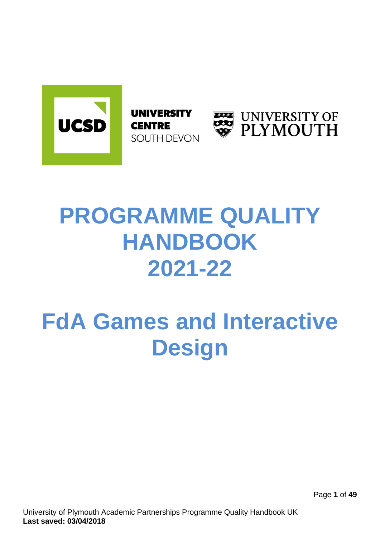

**UNIVERSITY CENTRE** SOUTH DEVON



# **PROGRAMME QUALITY HANDBOOK 2021-22**

# **FdA Games and Interactive Design**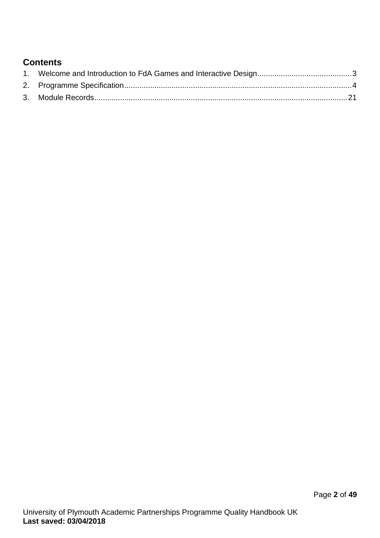# **Contents**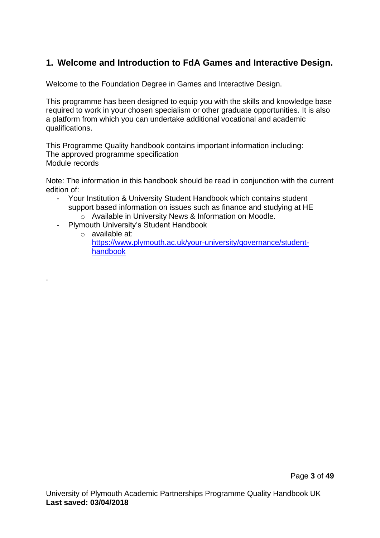# <span id="page-2-0"></span>**1. Welcome and Introduction to FdA Games and Interactive Design.**

Welcome to the Foundation Degree in Games and Interactive Design.

This programme has been designed to equip you with the skills and knowledge base required to work in your chosen specialism or other graduate opportunities. It is also a platform from which you can undertake additional vocational and academic qualifications.

This Programme Quality handbook contains important information including: The approved programme specification Module records

Note: The information in this handbook should be read in conjunction with the current edition of:

- Your Institution & University Student Handbook which contains student support based information on issues such as finance and studying at HE o Available in University News & Information on Moodle.
- Plymouth University's Student Handbook

<span id="page-2-1"></span>.

o available at: [https://www.plymouth.ac.uk/your-university/governance/student](https://www.plymouth.ac.uk/your-university/governance/student-handbook)[handbook](https://www.plymouth.ac.uk/your-university/governance/student-handbook)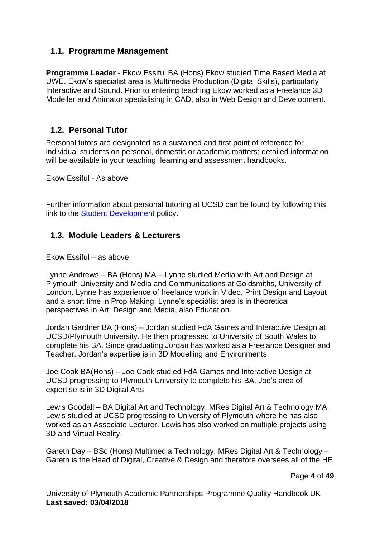### **1.1. Programme Management**

**Programme Leader** - Ekow Essiful BA (Hons) Ekow studied Time Based Media at UWE. Ekow's specialist area is Multimedia Production (Digital Skills), particularly Interactive and Sound. Prior to entering teaching Ekow worked as a Freelance 3D Modeller and Animator specialising in CAD, also in Web Design and Development.

#### **1.2. Personal Tutor**

Personal tutors are designated as a sustained and first point of reference for individual students on personal, domestic or academic matters; detailed information will be available in your teaching, learning and assessment handbooks.

Ekow Essiful - As above

Further information about personal tutoring at UCSD can be found by following this link to the [Student Development](https://www.ucsd.ac.uk/student-life/essential-information/academic-regulations-and-procedures-and-policies/) policy.

#### **1.3. Module Leaders & Lecturers**

Ekow Essiful – as above

Lynne Andrews – BA (Hons) MA – Lynne studied Media with Art and Design at Plymouth University and Media and Communications at Goldsmiths, University of London. Lynne has experience of freelance work in Video, Print Design and Layout and a short time in Prop Making. Lynne's specialist area is in theoretical perspectives in Art, Design and Media, also Education.

Jordan Gardner BA (Hons) – Jordan studied FdA Games and Interactive Design at UCSD/Plymouth University. He then progressed to University of South Wales to complete his BA. Since graduating Jordan has worked as a Freelance Designer and Teacher. Jordan's expertise is in 3D Modelling and Environments.

Joe Cook BA(Hons) – Joe Cook studied FdA Games and Interactive Design at UCSD progressing to Plymouth University to complete his BA. Joe's area of expertise is in 3D Digital Arts

Lewis Goodall – BA Digital Art and Technology, MRes Digital Art & Technology MA. Lewis studied at UCSD progressing to University of Plymouth where he has also worked as an Associate Lecturer. Lewis has also worked on multiple projects using 3D and Virtual Reality.

Gareth Day – BSc (Hons) Multimedia Technology, MRes Digital Art & Technology – Gareth is the Head of Digital, Creative & Design and therefore oversees all of the HE

Page **4** of **49**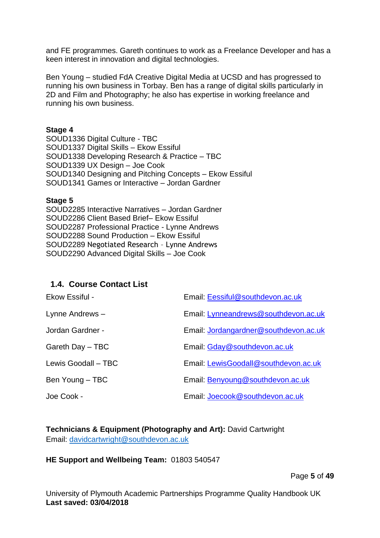and FE programmes. Gareth continues to work as a Freelance Developer and has a keen interest in innovation and digital technologies.

Ben Young – studied FdA Creative Digital Media at UCSD and has progressed to running his own business in Torbay. Ben has a range of digital skills particularly in 2D and Film and Photography; he also has expertise in working freelance and running his own business.

#### **Stage 4**

SOUD1336 Digital Culture - TBC SOUD1337 Digital Skills – Ekow Essiful SOUD1338 Developing Research & Practice – TBC SOUD1339 UX Design – Joe Cook SOUD1340 Designing and Pitching Concepts – Ekow Essiful SOUD1341 Games or Interactive – Jordan Gardner

#### **Stage 5**

SOUD2285 Interactive Narratives – Jordan Gardner SOUD2286 Client Based Brief– Ekow Essiful SOUD2287 Professional Practice - Lynne Andrews SOUD2288 Sound Production – Ekow Essiful SOUD2289 Negotiated Research – Lynne Andrews SOUD2290 Advanced Digital Skills – Joe Cook

### **1.4. Course Contact List**

| Ekow Essiful -      | Email: Eessiful@southdevon.ac.uk      |
|---------------------|---------------------------------------|
| Lynne Andrews -     | Email: Lynneandrews@southdevon.ac.uk  |
| Jordan Gardner -    | Email: Jordangardner@southdevon.ac.uk |
| Gareth Day - TBC    | Email: Gday@southdevon.ac.uk          |
| Lewis Goodall - TBC | Email: LewisGoodall@southdevon.ac.uk  |
| Ben Young - TBC     | Email: Benyoung@southdevon.ac.uk      |
| Joe Cook -          | Email: Joecook@southdevon.ac.uk       |

#### **Technicians & Equipment (Photography and Art):** David Cartwright Email: [davidcartwright@southdevon.ac.uk](mailto:davidcartwright@southdevon.ac.uk)

#### **HE Support and Wellbeing Team:** 01803 540547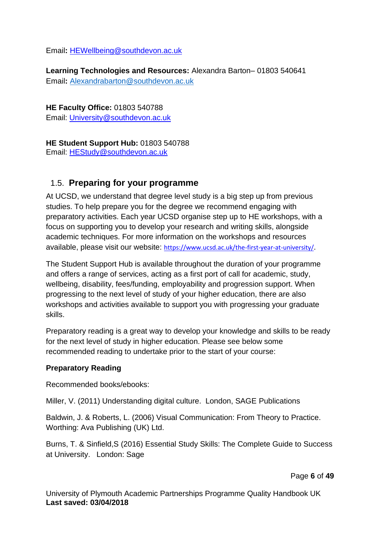Email**:** [HEWellbeing@southdevon.ac.uk](mailto:HEWellbeing@southdevon.ac.uk) 

**Learning Technologies and Resources:** Alexandra Barton– 01803 540641 Email**:** [Alexandrabarton@southdevon.ac.uk](mailto:Alexandrabarton@southdevon.ac.uk)

**HE Faculty Office:** 01803 540788

Email: [University@southdevon.ac.uk](mailto:University@southdevon.ac.uk)

#### **HE Student Support Hub:** 01803 540788

Email: [HEStudy@southdevon.ac.uk](mailto:HEStudy@southdevon.ac.uk)

## 1.5. **Preparing for your programme**

At UCSD, we understand that degree level study is a big step up from previous studies. To help prepare you for the degree we recommend engaging with preparatory activities. Each year UCSD organise step up to HE workshops, with a focus on supporting you to develop your research and writing skills, alongside academic techniques. For more information on the workshops and resources available, please visit our website: <https://www.ucsd.ac.uk/the-first-year-at-university/>.

The Student Support Hub is available throughout the duration of your programme and offers a range of services, acting as a first port of call for academic, study, wellbeing, disability, fees/funding, employability and progression support. When progressing to the next level of study of your higher education, there are also workshops and activities available to support you with progressing your graduate skills.

Preparatory reading is a great way to develop your knowledge and skills to be ready for the next level of study in higher education. Please see below some recommended reading to undertake prior to the start of your course:

#### **Preparatory Reading**

Recommended books/ebooks:

Miller, V. (2011) Understanding digital culture. London, SAGE Publications

Baldwin, J. & Roberts, L. (2006) Visual Communication: From Theory to Practice. Worthing: Ava Publishing (UK) Ltd.

Burns, T. & Sinfield,S (2016) Essential Study Skills: The Complete Guide to Success at University. London: Sage

Page **6** of **49**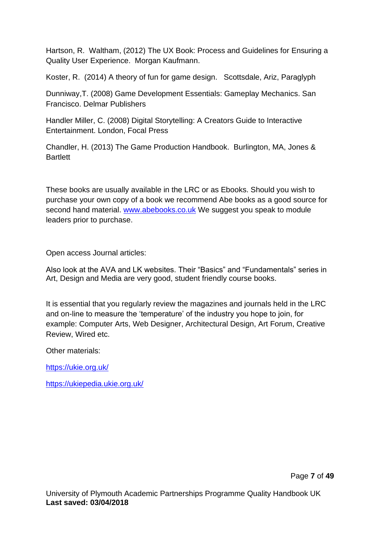Hartson, R. Waltham, (2012) The UX Book: Process and Guidelines for Ensuring a Quality User Experience. Morgan Kaufmann.

Koster, R. (2014) A theory of fun for game design. Scottsdale, Ariz, Paraglyph

Dunniway,T. (2008) Game Development Essentials: Gameplay Mechanics. San Francisco. Delmar Publishers

Handler Miller, C. (2008) Digital Storytelling: A Creators Guide to Interactive Entertainment. London, Focal Press

Chandler, H. (2013) The Game Production Handbook. Burlington, MA, Jones & **Bartlett** 

These books are usually available in the LRC or as Ebooks. Should you wish to purchase your own copy of a book we recommend Abe books as a good source for second hand material. [www.abebooks.co.uk](http://www.abebooks.co.uk/) We suggest you speak to module leaders prior to purchase.

Open access Journal articles:

Also look at the AVA and LK websites. Their "Basics" and "Fundamentals" series in Art, Design and Media are very good, student friendly course books.

It is essential that you regularly review the magazines and journals held in the LRC and on-line to measure the 'temperature' of the industry you hope to join, for example: Computer Arts, Web Designer, Architectural Design, Art Forum, Creative Review, Wired etc.

Other materials:

<https://ukie.org.uk/>

<https://ukiepedia.ukie.org.uk/>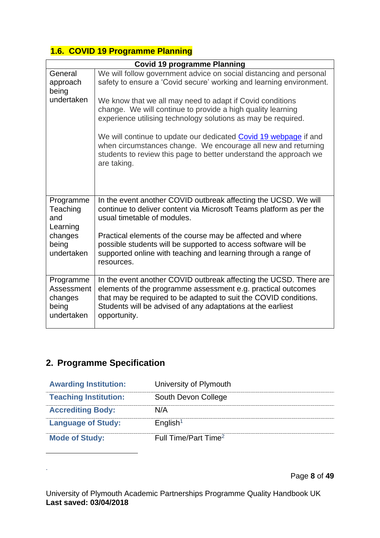## **1.6. COVID 19 Programme Planning**

|                 | <b>Covid 19 programme Planning</b>                                                                                           |  |  |  |  |  |  |
|-----------------|------------------------------------------------------------------------------------------------------------------------------|--|--|--|--|--|--|
| General         | We will follow government advice on social distancing and personal                                                           |  |  |  |  |  |  |
| approach        | safety to ensure a 'Covid secure' working and learning environment.                                                          |  |  |  |  |  |  |
| being           |                                                                                                                              |  |  |  |  |  |  |
| undertaken      | We know that we all may need to adapt if Covid conditions                                                                    |  |  |  |  |  |  |
|                 | change. We will continue to provide a high quality learning<br>experience utilising technology solutions as may be required. |  |  |  |  |  |  |
|                 |                                                                                                                              |  |  |  |  |  |  |
|                 | We will continue to update our dedicated Covid 19 webpage if and                                                             |  |  |  |  |  |  |
|                 | when circumstances change. We encourage all new and returning                                                                |  |  |  |  |  |  |
|                 | students to review this page to better understand the approach we                                                            |  |  |  |  |  |  |
|                 | are taking.                                                                                                                  |  |  |  |  |  |  |
|                 |                                                                                                                              |  |  |  |  |  |  |
|                 |                                                                                                                              |  |  |  |  |  |  |
| Programme       | In the event another COVID outbreak affecting the UCSD. We will                                                              |  |  |  |  |  |  |
| Teaching        | continue to deliver content via Microsoft Teams platform as per the                                                          |  |  |  |  |  |  |
| and<br>Learning | usual timetable of modules.                                                                                                  |  |  |  |  |  |  |
| changes         | Practical elements of the course may be affected and where                                                                   |  |  |  |  |  |  |
| being           | possible students will be supported to access software will be                                                               |  |  |  |  |  |  |
| undertaken      | supported online with teaching and learning through a range of                                                               |  |  |  |  |  |  |
|                 | resources.                                                                                                                   |  |  |  |  |  |  |
| Programme       | In the event another COVID outbreak affecting the UCSD. There are                                                            |  |  |  |  |  |  |
| Assessment      | elements of the programme assessment e.g. practical outcomes                                                                 |  |  |  |  |  |  |
| changes         | that may be required to be adapted to suit the COVID conditions.                                                             |  |  |  |  |  |  |
| being           | Students will be advised of any adaptations at the earliest                                                                  |  |  |  |  |  |  |
| undertaken      | opportunity.                                                                                                                 |  |  |  |  |  |  |
|                 |                                                                                                                              |  |  |  |  |  |  |

# **2. Programme Specification**

.

| <b>Awarding Institution:</b> | University of Plymouth           |
|------------------------------|----------------------------------|
| <b>Teaching Institution:</b> | South Devon College              |
| <b>Accrediting Body:</b>     | N/A                              |
| <b>Language of Study:</b>    | English <sup>1</sup>             |
| <b>Mode of Study:</b>        | Full Time/Part Time <sup>2</sup> |

Page **8** of **49**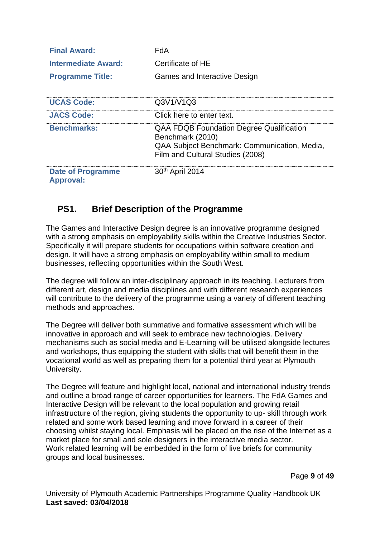| <b>Final Award:</b>                          | FdA                                                                                                                                                     |
|----------------------------------------------|---------------------------------------------------------------------------------------------------------------------------------------------------------|
| <b>Intermediate Award:</b>                   | Certificate of HE                                                                                                                                       |
| <b>Programme Title:</b>                      | Games and Interactive Design                                                                                                                            |
| <b>UCAS Code:</b>                            | Q3V1/V1Q3                                                                                                                                               |
| <b>JACS Code:</b>                            | Click here to enter text.                                                                                                                               |
| <b>Benchmarks:</b>                           | <b>QAA FDQB Foundation Degree Qualification</b><br>Benchmark (2010)<br>QAA Subject Benchmark: Communication, Media,<br>Film and Cultural Studies (2008) |
| <b>Date of Programme</b><br><b>Approval:</b> | 30th April 2014                                                                                                                                         |

# **PS1. Brief Description of the Programme**

The Games and Interactive Design degree is an innovative programme designed with a strong emphasis on employability skills within the Creative Industries Sector. Specifically it will prepare students for occupations within software creation and design. It will have a strong emphasis on employability within small to medium businesses, reflecting opportunities within the South West.

The degree will follow an inter-disciplinary approach in its teaching. Lecturers from different art, design and media disciplines and with different research experiences will contribute to the delivery of the programme using a variety of different teaching methods and approaches.

The Degree will deliver both summative and formative assessment which will be innovative in approach and will seek to embrace new technologies. Delivery mechanisms such as social media and E-Learning will be utilised alongside lectures and workshops, thus equipping the student with skills that will benefit them in the vocational world as well as preparing them for a potential third year at Plymouth University.

The Degree will feature and highlight local, national and international industry trends and outline a broad range of career opportunities for learners. The FdA Games and Interactive Design will be relevant to the local population and growing retail infrastructure of the region, giving students the opportunity to up- skill through work related and some work based learning and move forward in a career of their choosing whilst staying local. Emphasis will be placed on the rise of the Internet as a market place for small and sole designers in the interactive media sector. Work related learning will be embedded in the form of live briefs for community groups and local businesses.

Page **9** of **49**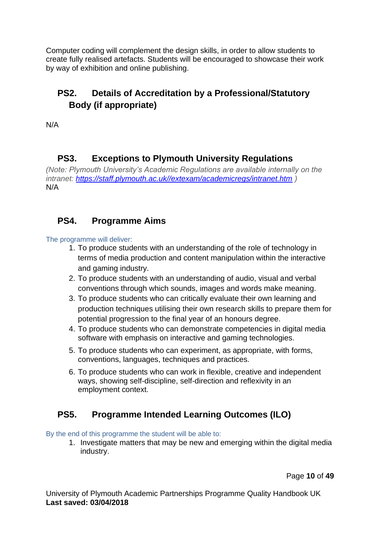Computer coding will complement the design skills, in order to allow students to create fully realised artefacts. Students will be encouraged to showcase their work by way of exhibition and online publishing.

# **PS2. Details of Accreditation by a Professional/Statutory Body (if appropriate)**

N/A

# **PS3. Exceptions to Plymouth University Regulations**

*(Note: Plymouth University's Academic Regulations are available internally on the intranet: [https://staff.plymouth.ac.uk//extexam/academicregs/intranet.htm](https://staff.plymouth.ac.uk/extexam/academicregs/intranet.htm) )* N/A

# **PS4. Programme Aims**

#### The programme will deliver:

- 1. To produce students with an understanding of the role of technology in terms of media production and content manipulation within the interactive and gaming industry.
- 2. To produce students with an understanding of audio, visual and verbal conventions through which sounds, images and words make meaning.
- 3. To produce students who can critically evaluate their own learning and production techniques utilising their own research skills to prepare them for potential progression to the final year of an honours degree.
- 4. To produce students who can demonstrate competencies in digital media software with emphasis on interactive and gaming technologies.
- 5. To produce students who can experiment, as appropriate, with forms, conventions, languages, techniques and practices.
- 6. To produce students who can work in flexible, creative and independent ways, showing self-discipline, self-direction and reflexivity in an employment context.

# **PS5. Programme Intended Learning Outcomes (ILO)**

#### By the end of this programme the student will be able to:

1. Investigate matters that may be new and emerging within the digital media industry.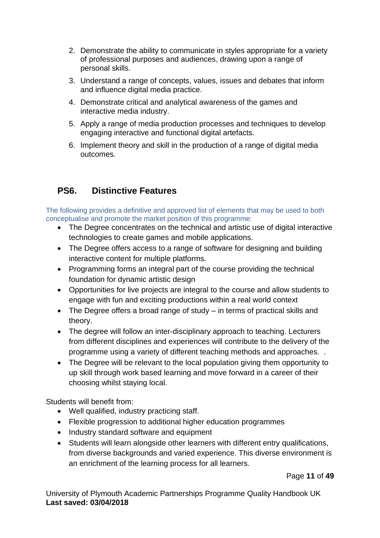- 2. Demonstrate the ability to communicate in styles appropriate for a variety of professional purposes and audiences, drawing upon a range of personal skills.
- 3. Understand a range of concepts, values, issues and debates that inform and influence digital media practice.
- 4. Demonstrate critical and analytical awareness of the games and interactive media industry.
- 5. Apply a range of media production processes and techniques to develop engaging interactive and functional digital artefacts.
- 6. Implement theory and skill in the production of a range of digital media outcomes.

# **PS6. Distinctive Features**

The following provides a definitive and approved list of elements that may be used to both conceptualise and promote the market position of this programme:

- The Degree concentrates on the technical and artistic use of digital interactive technologies to create games and mobile applications.
- The Degree offers access to a range of software for designing and building interactive content for multiple platforms.
- Programming forms an integral part of the course providing the technical foundation for dynamic artistic design
- Opportunities for live projects are integral to the course and allow students to engage with fun and exciting productions within a real world context
- The Degree offers a broad range of study in terms of practical skills and theory.
- The degree will follow an inter-disciplinary approach to teaching. Lecturers from different disciplines and experiences will contribute to the delivery of the programme using a variety of different teaching methods and approaches. .
- The Degree will be relevant to the local population giving them opportunity to up skill through work based learning and move forward in a career of their choosing whilst staying local.

Students will benefit from:

- Well qualified, industry practicing staff.
- Flexible progression to additional higher education programmes
- Industry standard software and equipment
- Students will learn alongside other learners with different entry qualifications, from diverse backgrounds and varied experience. This diverse environment is an enrichment of the learning process for all learners.

Page **11** of **49**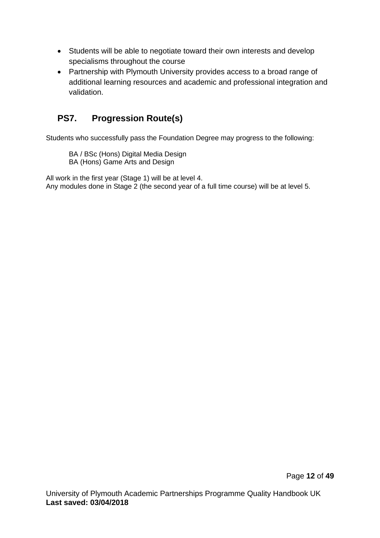- Students will be able to negotiate toward their own interests and develop specialisms throughout the course
- Partnership with Plymouth University provides access to a broad range of additional learning resources and academic and professional integration and validation.

# **PS7. Progression Route(s)**

Students who successfully pass the Foundation Degree may progress to the following:

BA / BSc (Hons) Digital Media Design BA (Hons) Game Arts and Design

All work in the first year (Stage 1) will be at level 4.

Any modules done in Stage 2 (the second year of a full time course) will be at level 5.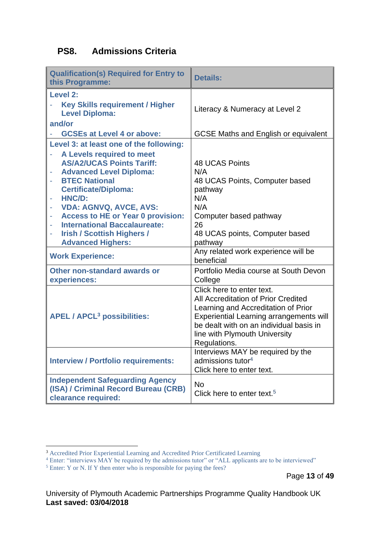# **PS8. Admissions Criteria**

| <b>Qualification(s) Required for Entry to</b><br>this Programme:         | <b>Details:</b>                                                            |  |  |  |
|--------------------------------------------------------------------------|----------------------------------------------------------------------------|--|--|--|
| <b>Level 2:</b><br><b>Key Skills requirement / Higher</b>                |                                                                            |  |  |  |
| <b>Level Diploma:</b>                                                    | Literacy & Numeracy at Level 2                                             |  |  |  |
| and/or                                                                   |                                                                            |  |  |  |
| <b>GCSEs at Level 4 or above:</b>                                        | <b>GCSE Maths and English or equivalent</b>                                |  |  |  |
| Level 3: at least one of the following:                                  |                                                                            |  |  |  |
| A Levels required to meet                                                |                                                                            |  |  |  |
| <b>AS/A2/UCAS Points Tariff:</b>                                         | <b>48 UCAS Points</b><br>N/A                                               |  |  |  |
| <b>Advanced Level Diploma:</b><br><b>BTEC National</b>                   | 48 UCAS Points, Computer based                                             |  |  |  |
| <b>Certificate/Diploma:</b>                                              | pathway                                                                    |  |  |  |
| HNC/D:                                                                   | N/A                                                                        |  |  |  |
| <b>VDA: AGNVQ, AVCE, AVS:</b>                                            | N/A                                                                        |  |  |  |
| <b>Access to HE or Year 0 provision:</b><br>÷                            | Computer based pathway                                                     |  |  |  |
| <b>International Baccalaureate:</b><br><b>Irish / Scottish Highers /</b> | 26<br>48 UCAS points, Computer based                                       |  |  |  |
| <b>Advanced Highers:</b>                                                 | pathway                                                                    |  |  |  |
| <b>Work Experience:</b>                                                  | Any related work experience will be                                        |  |  |  |
|                                                                          | beneficial                                                                 |  |  |  |
| Other non-standard awards or                                             | Portfolio Media course at South Devon                                      |  |  |  |
| experiences:                                                             | College                                                                    |  |  |  |
|                                                                          | Click here to enter text.                                                  |  |  |  |
|                                                                          | All Accreditation of Prior Credited<br>Learning and Accreditation of Prior |  |  |  |
| <b>APEL / APCL<sup>3</sup> possibilities:</b>                            | <b>Experiential Learning arrangements will</b>                             |  |  |  |
|                                                                          | be dealt with on an individual basis in                                    |  |  |  |
|                                                                          | line with Plymouth University                                              |  |  |  |
|                                                                          | Regulations.                                                               |  |  |  |
|                                                                          | Interviews MAY be required by the                                          |  |  |  |
| <b>Interview / Portfolio requirements:</b>                               | admissions tutor $4$<br>Click here to enter text.                          |  |  |  |
| <b>Independent Safeguarding Agency</b>                                   |                                                                            |  |  |  |
| (ISA) / Criminal Record Bureau (CRB)                                     | <b>No</b>                                                                  |  |  |  |
| clearance required:                                                      | Click here to enter text. <sup>5</sup>                                     |  |  |  |

<sup>3</sup> Accredited Prior Experiential Learning and Accredited Prior Certificated Learning

<sup>&</sup>lt;sup>4</sup> Enter: "interviews MAY be required by the admissions tutor" or "ALL applicants are to be interviewed"

<sup>&</sup>lt;sup>5</sup> Enter: Y or N. If Y then enter who is responsible for paying the fees?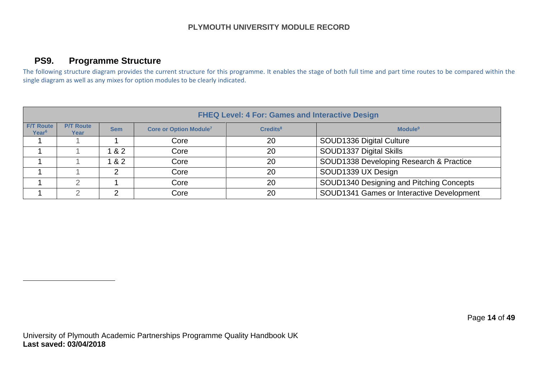### **PS9. Programme Structure**

The following structure diagram provides the current structure for this programme. It enables the stage of both full time and part time routes to be compared within the single diagram as well as any mixes for option modules to be clearly indicated.

|                                                                                                                                                           | <b>FHEQ Level: 4 For: Games and Interactive Design</b> |                                        |                                       |                                               |                                           |  |  |  |  |
|-----------------------------------------------------------------------------------------------------------------------------------------------------------|--------------------------------------------------------|----------------------------------------|---------------------------------------|-----------------------------------------------|-------------------------------------------|--|--|--|--|
| <b>F/T Route</b><br><b>P/T Route</b><br><b>Core or Option Module7</b><br>Module <sup>9</sup><br>$C$ redits $8$<br><b>Sem</b><br>Year <sup>6</sup><br>Year |                                                        |                                        |                                       |                                               |                                           |  |  |  |  |
|                                                                                                                                                           |                                                        | SOUD1336 Digital Culture<br>20<br>Core |                                       |                                               |                                           |  |  |  |  |
|                                                                                                                                                           |                                                        | & 2                                    | SOUD1337 Digital Skills<br>20<br>Core |                                               |                                           |  |  |  |  |
|                                                                                                                                                           |                                                        | 82                                     | Core                                  | SOUD1338 Developing Research & Practice<br>20 |                                           |  |  |  |  |
|                                                                                                                                                           |                                                        | ⌒                                      | Core                                  | 20                                            | SOUD1339 UX Design                        |  |  |  |  |
|                                                                                                                                                           |                                                        |                                        | Core                                  | 20                                            | SOUD1340 Designing and Pitching Concepts  |  |  |  |  |
|                                                                                                                                                           |                                                        | ⌒                                      | Core                                  | 20                                            | SOUD1341 Games or Interactive Development |  |  |  |  |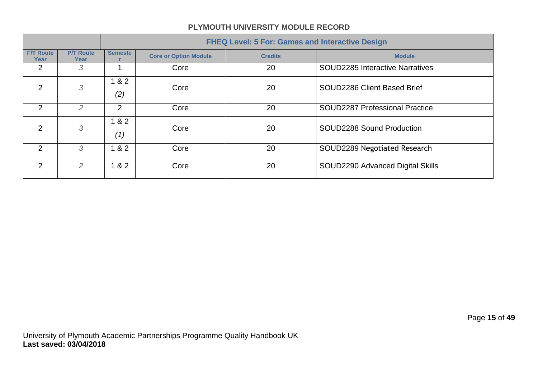|                          |                          | <b>FHEQ Level: 5 For: Games and Interactive Design</b> |                              |                |                                        |  |  |
|--------------------------|--------------------------|--------------------------------------------------------|------------------------------|----------------|----------------------------------------|--|--|
| <b>F/T Route</b><br>Year | <b>P/T Route</b><br>Year | <b>Semeste</b>                                         | <b>Core or Option Module</b> | <b>Credits</b> | <b>Module</b>                          |  |  |
| $\overline{2}$           | 3                        |                                                        | Core                         | 20             | <b>SOUD2285 Interactive Narratives</b> |  |  |
| $\overline{2}$           | 3                        | 82<br>(2)                                              | Core                         | 20             | SOUD2286 Client Based Brief            |  |  |
| $\overline{2}$           | 2                        | 2                                                      | Core                         | 20             | <b>SOUD2287 Professional Practice</b>  |  |  |
| 2                        | 3                        | 82<br>(1)                                              | Core                         | 20             | SOUD2288 Sound Production              |  |  |
| 2                        | 3                        | 82<br>$\mathbf 1$                                      | Core                         | 20             | SOUD2289 Negotiated Research           |  |  |
| 2                        | $\overline{2}$           | 82                                                     | Core                         | 20             | SOUD2290 Advanced Digital Skills       |  |  |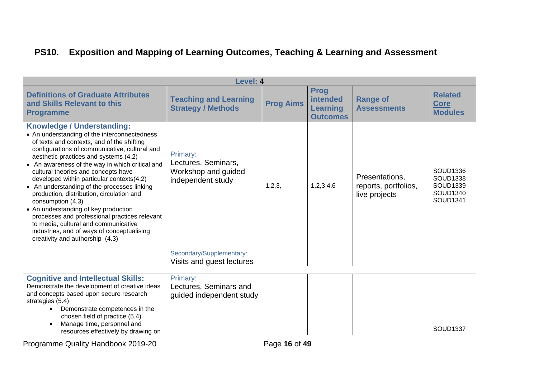# **PS10. Exposition and Mapping of Learning Outcomes, Teaching & Learning and Assessment**

| Level: 4                                                                                                                                                                                                                                                                                                                                                                                                                                                                                                                                                                                                                                                                                            |                                                                             |                  |                                                                      |                                                         |                                                                 |  |
|-----------------------------------------------------------------------------------------------------------------------------------------------------------------------------------------------------------------------------------------------------------------------------------------------------------------------------------------------------------------------------------------------------------------------------------------------------------------------------------------------------------------------------------------------------------------------------------------------------------------------------------------------------------------------------------------------------|-----------------------------------------------------------------------------|------------------|----------------------------------------------------------------------|---------------------------------------------------------|-----------------------------------------------------------------|--|
| <b>Definitions of Graduate Attributes</b><br>and Skills Relevant to this<br><b>Programme</b>                                                                                                                                                                                                                                                                                                                                                                                                                                                                                                                                                                                                        | <b>Teaching and Learning</b><br><b>Strategy / Methods</b>                   | <b>Prog Aims</b> | <b>Prog</b><br><b>intended</b><br><b>Learning</b><br><b>Outcomes</b> | <b>Range of</b><br><b>Assessments</b>                   | <b>Related</b><br><b>Core</b><br><b>Modules</b>                 |  |
| <b>Knowledge / Understanding:</b><br>• An understanding of the interconnectedness<br>of texts and contexts, and of the shifting<br>configurations of communicative, cultural and<br>aesthetic practices and systems (4.2)<br>• An awareness of the way in which critical and<br>cultural theories and concepts have<br>developed within particular contexts(4.2)<br>• An understanding of the processes linking<br>production, distribution, circulation and<br>consumption (4.3)<br>• An understanding of key production<br>processes and professional practices relevant<br>to media, cultural and communicative<br>industries, and of ways of conceptualising<br>creativity and authorship (4.3) | Primary:<br>Lectures, Seminars,<br>Workshop and guided<br>independent study | 1, 2, 3,         | 1,2,3,4,6                                                            | Presentations.<br>reports, portfolios,<br>live projects | SOUD1336<br><b>SOUD1338</b><br>SOUD1339<br>SOUD1340<br>SOUD1341 |  |
|                                                                                                                                                                                                                                                                                                                                                                                                                                                                                                                                                                                                                                                                                                     | Secondary/Supplementary:<br>Visits and guest lectures                       |                  |                                                                      |                                                         |                                                                 |  |
| <b>Cognitive and Intellectual Skills:</b><br>Demonstrate the development of creative ideas<br>and concepts based upon secure research<br>strategies (5.4)<br>Demonstrate competences in the<br>chosen field of practice (5.4)<br>Manage time, personnel and<br>$\bullet$<br>resources effectively by drawing on                                                                                                                                                                                                                                                                                                                                                                                     | Primary:<br>Lectures, Seminars and<br>quided independent study              |                  |                                                                      |                                                         | <b>SOUD1337</b>                                                 |  |

Programme Quality Handbook 2019-20 Programme Quality Handbook 2019-20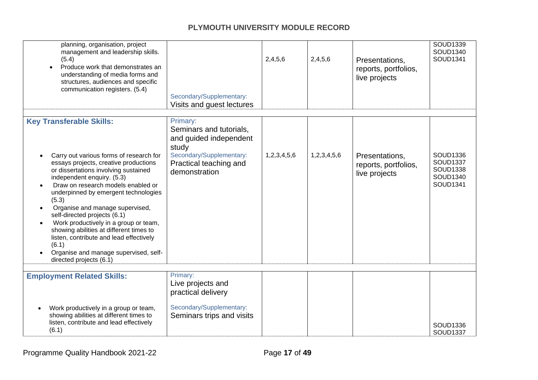| Secondary/Supplementary:<br>Visits and guest lectures                                                                                         | 2,4,5,6     | 2,4,5,6     | Presentations,<br>reports, portfolios,<br>live projects | SOUD1339<br>SOUD1340<br>SOUD1341                                |
|-----------------------------------------------------------------------------------------------------------------------------------------------|-------------|-------------|---------------------------------------------------------|-----------------------------------------------------------------|
| Primary:<br>Seminars and tutorials,<br>and guided independent<br>study<br>Secondary/Supplementary:<br>Practical teaching and<br>demonstration | 1,2,3,4,5,6 | 1,2,3,4,5,6 | Presentations,<br>reports, portfolios,<br>live projects | SOUD1336<br><b>SOUD1337</b><br>SOUD1338<br>SOUD1340<br>SOUD1341 |
|                                                                                                                                               |             |             |                                                         |                                                                 |
| Live projects and<br>practical delivery<br>Secondary/Supplementary:<br>Seminars trips and visits                                              |             |             |                                                         | SOUD1336<br><b>SOUD1337</b>                                     |
|                                                                                                                                               | Primary:    |             |                                                         |                                                                 |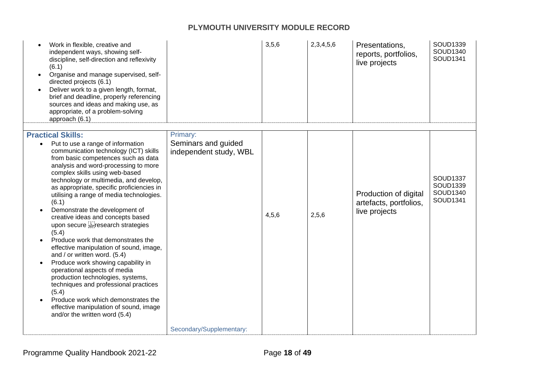| Work in flexible, creative and<br>independent ways, showing self-<br>discipline, self-direction and reflexivity<br>(6.1)<br>Organise and manage supervised, self-<br>directed projects (6.1)<br>Deliver work to a given length, format,<br>brief and deadline, properly referencing<br>sources and ideas and making use, as<br>appropriate, of a problem-solving<br>approach (6.1)                                                                                                                                                                                                                                                                                                                                                                                                                                                                                                   |                                                           | 3,5,6 | 2,3,4,5,6 | Presentations,<br>reports, portfolios,<br>live projects          | SOUD1339<br>SOUD1340<br>SOUD1341             |
|--------------------------------------------------------------------------------------------------------------------------------------------------------------------------------------------------------------------------------------------------------------------------------------------------------------------------------------------------------------------------------------------------------------------------------------------------------------------------------------------------------------------------------------------------------------------------------------------------------------------------------------------------------------------------------------------------------------------------------------------------------------------------------------------------------------------------------------------------------------------------------------|-----------------------------------------------------------|-------|-----------|------------------------------------------------------------------|----------------------------------------------|
| <b>Practical Skills:</b><br>Put to use a range of information<br>communication technology (ICT) skills<br>from basic competences such as data<br>analysis and word-processing to more<br>complex skills using web-based<br>technology or multimedia, and develop,<br>as appropriate, specific proficiencies in<br>utilising a range of media technologies.<br>(6.1)<br>Demonstrate the development of<br>creative ideas and concepts based<br>upon secure seerch strategies<br>(5.4)<br>Produce work that demonstrates the<br>effective manipulation of sound, image,<br>and / or written word. (5.4)<br>Produce work showing capability in<br>operational aspects of media<br>production technologies, systems,<br>techniques and professional practices<br>(5.4)<br>Produce work which demonstrates the<br>effective manipulation of sound, image<br>and/or the written word (5.4) | Primary:<br>Seminars and guided<br>independent study, WBL | 4,5,6 | 2,5,6     | Production of digital<br>artefacts, portfolios,<br>live projects | SOUD1337<br>SOUD1339<br>SOUD1340<br>SOUD1341 |
|                                                                                                                                                                                                                                                                                                                                                                                                                                                                                                                                                                                                                                                                                                                                                                                                                                                                                      | Secondary/Supplementary:                                  |       |           |                                                                  |                                              |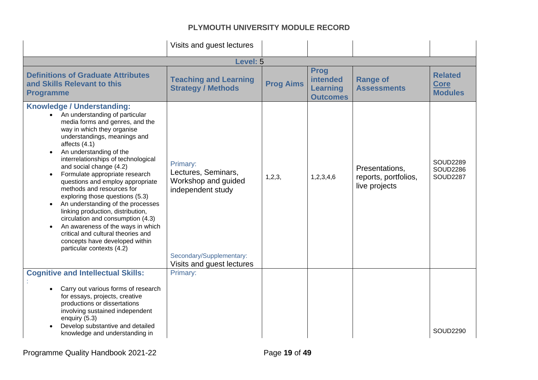|                                                                                                                                                                                                                                                                                                                                                                                                                                                                                                                                                                                                                                                                                     | Visits and guest lectures                                                                                                            |                  |                                                                      |                                                         |                                                       |  |
|-------------------------------------------------------------------------------------------------------------------------------------------------------------------------------------------------------------------------------------------------------------------------------------------------------------------------------------------------------------------------------------------------------------------------------------------------------------------------------------------------------------------------------------------------------------------------------------------------------------------------------------------------------------------------------------|--------------------------------------------------------------------------------------------------------------------------------------|------------------|----------------------------------------------------------------------|---------------------------------------------------------|-------------------------------------------------------|--|
| Level: 5                                                                                                                                                                                                                                                                                                                                                                                                                                                                                                                                                                                                                                                                            |                                                                                                                                      |                  |                                                                      |                                                         |                                                       |  |
| <b>Definitions of Graduate Attributes</b><br>and Skills Relevant to this<br><b>Programme</b>                                                                                                                                                                                                                                                                                                                                                                                                                                                                                                                                                                                        | <b>Teaching and Learning</b><br><b>Strategy / Methods</b>                                                                            | <b>Prog Aims</b> | <b>Prog</b><br><b>intended</b><br><b>Learning</b><br><b>Outcomes</b> | <b>Range of</b><br><b>Assessments</b>                   | <b>Related</b><br><b>Core</b><br><b>Modules</b>       |  |
| <b>Knowledge / Understanding:</b><br>An understanding of particular<br>media forms and genres, and the<br>way in which they organise<br>understandings, meanings and<br>affects $(4.1)$<br>An understanding of the<br>interrelationships of technological<br>and social change (4.2)<br>Formulate appropriate research<br>questions and employ appropriate<br>methods and resources for<br>exploring those questions (5.3)<br>An understanding of the processes<br>linking production, distribution,<br>circulation and consumption (4.3)<br>An awareness of the ways in which<br>critical and cultural theories and<br>concepts have developed within<br>particular contexts (4.2) | Primary:<br>Lectures, Seminars,<br>Workshop and guided<br>independent study<br>Secondary/Supplementary:<br>Visits and guest lectures | 1,2,3,           | 1,2,3,4,6                                                            | Presentations,<br>reports, portfolios,<br>live projects | <b>SOUD2289</b><br><b>SOUD2286</b><br><b>SOUD2287</b> |  |
| <b>Cognitive and Intellectual Skills:</b>                                                                                                                                                                                                                                                                                                                                                                                                                                                                                                                                                                                                                                           | Primary:                                                                                                                             |                  |                                                                      |                                                         |                                                       |  |
| Carry out various forms of research<br>for essays, projects, creative<br>productions or dissertations<br>involving sustained independent<br>enquiry (5.3)<br>Develop substantive and detailed<br>knowledge and understanding in                                                                                                                                                                                                                                                                                                                                                                                                                                                     |                                                                                                                                      |                  |                                                                      |                                                         | <b>SOUD2290</b>                                       |  |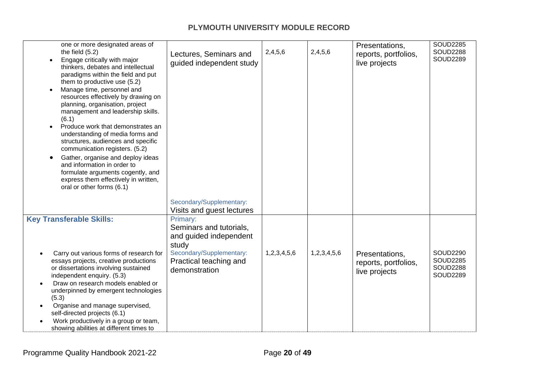| one or more designated areas of<br>the field $(5.2)$<br>Engage critically with major<br>thinkers, debates and intellectual<br>paradigms within the field and put<br>them to productive use (5.2)<br>Manage time, personnel and<br>resources effectively by drawing on<br>planning, organisation, project<br>management and leadership skills.<br>(6.1)<br>Produce work that demonstrates an<br>understanding of media forms and<br>structures, audiences and specific<br>communication registers. (5.2)<br>Gather, organise and deploy ideas<br>and information in order to<br>formulate arguments cogently, and<br>express them effectively in written,<br>oral or other forms (6.1) | Lectures, Seminars and<br>guided independent study                                                                                            | 2,4,5,6     | 2,4,5,6     | Presentations,<br>reports, portfolios,<br>live projects | <b>SOUD2285</b><br><b>SOUD2288</b><br><b>SOUD2289</b>                    |
|---------------------------------------------------------------------------------------------------------------------------------------------------------------------------------------------------------------------------------------------------------------------------------------------------------------------------------------------------------------------------------------------------------------------------------------------------------------------------------------------------------------------------------------------------------------------------------------------------------------------------------------------------------------------------------------|-----------------------------------------------------------------------------------------------------------------------------------------------|-------------|-------------|---------------------------------------------------------|--------------------------------------------------------------------------|
|                                                                                                                                                                                                                                                                                                                                                                                                                                                                                                                                                                                                                                                                                       | Secondary/Supplementary:<br>Visits and guest lectures                                                                                         |             |             |                                                         |                                                                          |
| <b>Key Transferable Skills:</b><br>Carry out various forms of research for<br>essays projects, creative productions<br>or dissertations involving sustained<br>independent enquiry. (5.3)<br>Draw on research models enabled or<br>underpinned by emergent technologies<br>(5.3)<br>Organise and manage supervised,<br>self-directed projects (6.1)<br>Work productively in a group or team,<br>showing abilities at different times to                                                                                                                                                                                                                                               | Primary:<br>Seminars and tutorials,<br>and guided independent<br>study<br>Secondary/Supplementary:<br>Practical teaching and<br>demonstration | 1,2,3,4,5,6 | 1,2,3,4,5,6 | Presentations,<br>reports, portfolios,<br>live projects | <b>SOUD2290</b><br><b>SOUD2285</b><br><b>SOUD2288</b><br><b>SOUD2289</b> |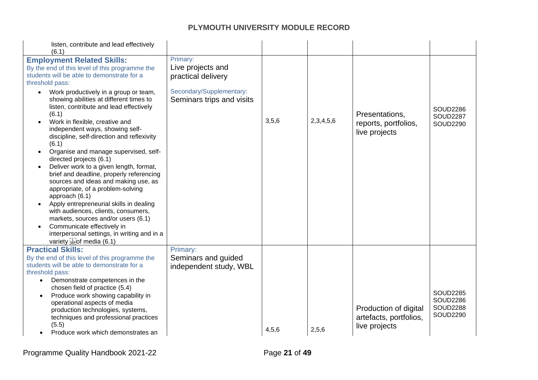| listen, contribute and lead effectively<br>(6.1)                                                                                                                                                                                                                                                                                                                                                                                                                                                                                                                                                                                                                                                                                                                                                                                          |                                                                                                              |       |           |                                                                  |                                                                          |
|-------------------------------------------------------------------------------------------------------------------------------------------------------------------------------------------------------------------------------------------------------------------------------------------------------------------------------------------------------------------------------------------------------------------------------------------------------------------------------------------------------------------------------------------------------------------------------------------------------------------------------------------------------------------------------------------------------------------------------------------------------------------------------------------------------------------------------------------|--------------------------------------------------------------------------------------------------------------|-------|-----------|------------------------------------------------------------------|--------------------------------------------------------------------------|
| <b>Employment Related Skills:</b><br>By the end of this level of this programme the<br>students will be able to demonstrate for a<br>threshold pass:<br>Work productively in a group or team,<br>showing abilities at different times to<br>listen, contribute and lead effectively<br>(6.1)<br>Work in flexible, creative and<br>independent ways, showing self-<br>discipline, self-direction and reflexivity<br>(6.1)<br>Organise and manage supervised, self-<br>directed projects (6.1)<br>Deliver work to a given length, format,<br>brief and deadline, properly referencing<br>sources and ideas and making use, as<br>appropriate, of a problem-solving<br>approach (6.1)<br>Apply entrepreneurial skills in dealing<br>with audiences, clients, consumers,<br>markets, sources and/or users (6.1)<br>Communicate effectively in | Primary:<br>Live projects and<br>practical delivery<br>Secondary/Supplementary:<br>Seminars trips and visits | 3,5,6 | 2,3,4,5,6 | Presentations,<br>reports, portfolios,<br>live projects          | <b>SOUD2286</b><br><b>SOUD2287</b><br><b>SOUD2290</b>                    |
| interpersonal settings, in writing and in a<br>variety sepof media (6.1)                                                                                                                                                                                                                                                                                                                                                                                                                                                                                                                                                                                                                                                                                                                                                                  |                                                                                                              |       |           |                                                                  |                                                                          |
| <b>Practical Skills:</b><br>By the end of this level of this programme the<br>students will be able to demonstrate for a<br>threshold pass:<br>Demonstrate competences in the<br>chosen field of practice (5.4)<br>Produce work showing capability in<br>operational aspects of media<br>production technologies, systems,<br>techniques and professional practices<br>(5.5)<br>Produce work which demonstrates an                                                                                                                                                                                                                                                                                                                                                                                                                        | Primary:<br>Seminars and guided<br>independent study, WBL                                                    | 4,5,6 | 2,5,6     | Production of digital<br>artefacts, portfolios,<br>live projects | <b>SOUD2285</b><br><b>SOUD2286</b><br><b>SOUD2288</b><br><b>SOUD2290</b> |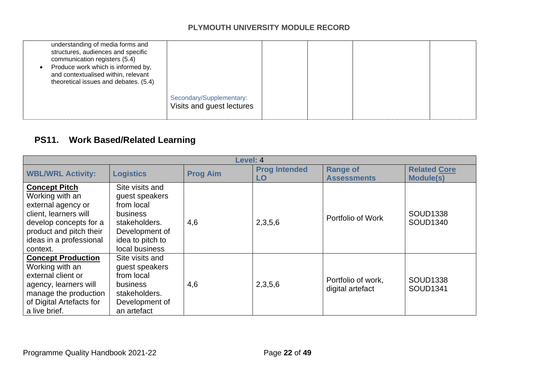| understanding of media forms and<br>structures, audiences and specific<br>communication registers (5.4)<br>Produce work which is informed by,<br>and contextualised within, relevant<br>theoretical issues and debates. (5.4) |                                                       |  |  |
|-------------------------------------------------------------------------------------------------------------------------------------------------------------------------------------------------------------------------------|-------------------------------------------------------|--|--|
|                                                                                                                                                                                                                               | Secondary/Supplementary:<br>Visits and guest lectures |  |  |

# **PS11. Work Based/Related Learning**

|                                                                                                                                                                                    | Level: 4                                                                                                                             |                 |                            |                                        |                                         |  |  |
|------------------------------------------------------------------------------------------------------------------------------------------------------------------------------------|--------------------------------------------------------------------------------------------------------------------------------------|-----------------|----------------------------|----------------------------------------|-----------------------------------------|--|--|
| <b>WBL/WRL Activity:</b>                                                                                                                                                           | <b>Logistics</b>                                                                                                                     | <b>Prog Aim</b> | <b>Prog Intended</b><br>LO | <b>Range of</b><br><b>Assessments</b>  | <b>Related Core</b><br><b>Module(s)</b> |  |  |
| <b>Concept Pitch</b><br>Working with an<br>external agency or<br>client, learners will<br>develop concepts for a<br>product and pitch their<br>ideas in a professional<br>context. | Site visits and<br>guest speakers<br>from local<br>business<br>stakeholders.<br>Development of<br>idea to pitch to<br>local business | 4,6             | 2,3,5,6                    | Portfolio of Work                      | <b>SOUD1338</b><br>SOUD1340             |  |  |
| <b>Concept Production</b><br>Working with an<br>external client or<br>agency, learners will<br>manage the production<br>of Digital Artefacts for<br>a live brief.                  | Site visits and<br>guest speakers<br>from local<br>business<br>stakeholders.<br>Development of<br>an artefact                        | 4,6             | 2,3,5,6                    | Portfolio of work,<br>digital artefact | <b>SOUD1338</b><br>SOUD1341             |  |  |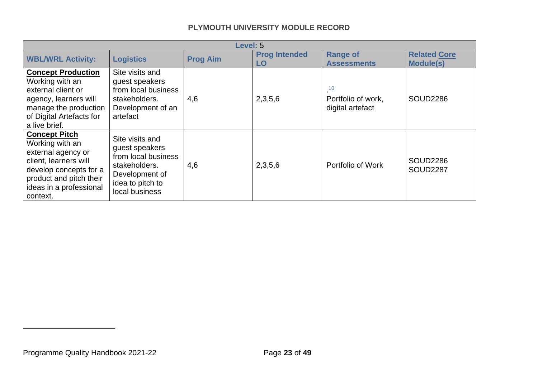<span id="page-22-0"></span>

|                                                                                                                                                                                    | <b>Level: 5</b>                                                                                                                   |                 |                            |                                              |                                         |  |
|------------------------------------------------------------------------------------------------------------------------------------------------------------------------------------|-----------------------------------------------------------------------------------------------------------------------------------|-----------------|----------------------------|----------------------------------------------|-----------------------------------------|--|
| <b>WBL/WRL Activity:</b>                                                                                                                                                           | <b>Logistics</b>                                                                                                                  | <b>Prog Aim</b> | <b>Prog Intended</b><br>LO | <b>Range of</b><br><b>Assessments</b>        | <b>Related Core</b><br><b>Module(s)</b> |  |
| <b>Concept Production</b><br>Working with an<br>external client or<br>agency, learners will<br>manage the production<br>of Digital Artefacts for<br>a live brief.                  | Site visits and<br>guest speakers<br>from local business<br>stakeholders.<br>Development of an<br>artefact                        | 4,6             | 2,3,5,6                    | 10<br>Portfolio of work,<br>digital artefact | <b>SOUD2286</b>                         |  |
| <b>Concept Pitch</b><br>Working with an<br>external agency or<br>client, learners will<br>develop concepts for a<br>product and pitch their<br>ideas in a professional<br>context. | Site visits and<br>guest speakers<br>from local business<br>stakeholders.<br>Development of<br>idea to pitch to<br>local business | 4,6             | 2,3,5,6                    | Portfolio of Work                            | <b>SOUD2286</b><br><b>SOUD2287</b>      |  |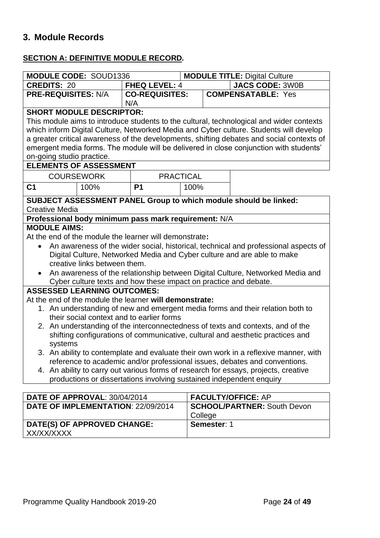# **3. Module Records**

#### **SECTION A: DEFINITIVE MODULE RECORD***.*

|                                                                                          | <b>MODULE CODE: SOUD1336</b>                                                                                                                                |                       |                  |  | <b>MODULE TITLE: Digital Culture</b>                                                      |  |
|------------------------------------------------------------------------------------------|-------------------------------------------------------------------------------------------------------------------------------------------------------------|-----------------------|------------------|--|-------------------------------------------------------------------------------------------|--|
| <b>CREDITS: 20</b>                                                                       |                                                                                                                                                             | <b>FHEQ LEVEL: 4</b>  |                  |  | <b>JACS CODE: 3W0B</b>                                                                    |  |
| <b>PRE-REQUISITES: N/A</b>                                                               |                                                                                                                                                             | <b>CO-REQUISITES:</b> |                  |  | <b>COMPENSATABLE: Yes</b>                                                                 |  |
|                                                                                          |                                                                                                                                                             | N/A                   |                  |  |                                                                                           |  |
|                                                                                          | <b>SHORT MODULE DESCRIPTOR:</b>                                                                                                                             |                       |                  |  |                                                                                           |  |
| This module aims to introduce students to the cultural, technological and wider contexts |                                                                                                                                                             |                       |                  |  |                                                                                           |  |
|                                                                                          |                                                                                                                                                             |                       |                  |  | which inform Digital Culture, Networked Media and Cyber culture. Students will develop    |  |
|                                                                                          |                                                                                                                                                             |                       |                  |  | a greater critical awareness of the developments, shifting debates and social contexts of |  |
|                                                                                          |                                                                                                                                                             |                       |                  |  | emergent media forms. The module will be delivered in close conjunction with students'    |  |
| on-going studio practice.                                                                |                                                                                                                                                             |                       |                  |  |                                                                                           |  |
|                                                                                          | <b>ELEMENTS OF ASSESSMENT</b>                                                                                                                               |                       |                  |  |                                                                                           |  |
|                                                                                          | <b>COURSEWORK</b>                                                                                                                                           |                       | <b>PRACTICAL</b> |  |                                                                                           |  |
| C <sub>1</sub>                                                                           | 100%                                                                                                                                                        | <b>P1</b>             | 100%             |  |                                                                                           |  |
|                                                                                          |                                                                                                                                                             |                       |                  |  | <b>SUBJECT ASSESSMENT PANEL Group to which module should be linked:</b>                   |  |
| <b>Creative Media</b>                                                                    |                                                                                                                                                             |                       |                  |  |                                                                                           |  |
|                                                                                          | Professional body minimum pass mark requirement: N/A                                                                                                        |                       |                  |  |                                                                                           |  |
| <b>MODULE AIMS:</b>                                                                      |                                                                                                                                                             |                       |                  |  |                                                                                           |  |
|                                                                                          | At the end of the module the learner will demonstrate:                                                                                                      |                       |                  |  |                                                                                           |  |
| $\bullet$                                                                                |                                                                                                                                                             |                       |                  |  | An awareness of the wider social, historical, technical and professional aspects of       |  |
|                                                                                          |                                                                                                                                                             |                       |                  |  | Digital Culture, Networked Media and Cyber culture and are able to make                   |  |
|                                                                                          | creative links between them.                                                                                                                                |                       |                  |  |                                                                                           |  |
|                                                                                          |                                                                                                                                                             |                       |                  |  | An awareness of the relationship between Digital Culture, Networked Media and             |  |
|                                                                                          | Cyber culture texts and how these impact on practice and debate.                                                                                            |                       |                  |  |                                                                                           |  |
| <b>ASSESSED LEARNING OUTCOMES:</b>                                                       |                                                                                                                                                             |                       |                  |  |                                                                                           |  |
|                                                                                          | At the end of the module the learner will demonstrate:                                                                                                      |                       |                  |  |                                                                                           |  |
|                                                                                          |                                                                                                                                                             |                       |                  |  | 1. An understanding of new and emergent media forms and their relation both to            |  |
|                                                                                          | their social context and to earlier forms                                                                                                                   |                       |                  |  |                                                                                           |  |
|                                                                                          |                                                                                                                                                             |                       |                  |  | 2. An understanding of the interconnectedness of texts and contexts, and of the           |  |
|                                                                                          | shifting configurations of communicative, cultural and aesthetic practices and                                                                              |                       |                  |  |                                                                                           |  |
|                                                                                          | systems                                                                                                                                                     |                       |                  |  |                                                                                           |  |
|                                                                                          | 3. An ability to contemplate and evaluate their own work in a reflexive manner, with                                                                        |                       |                  |  |                                                                                           |  |
|                                                                                          | reference to academic and/or professional issues, debates and conventions.                                                                                  |                       |                  |  |                                                                                           |  |
|                                                                                          | 4. An ability to carry out various forms of research for essays, projects, creative<br>productions or dissertations involving sustained independent enquiry |                       |                  |  |                                                                                           |  |
|                                                                                          |                                                                                                                                                             |                       |                  |  |                                                                                           |  |
|                                                                                          | DATE OF APPROVAL: 30/04/2014                                                                                                                                |                       |                  |  | <b>FACULTY/OFFICE: AP</b>                                                                 |  |
|                                                                                          | DATE OF IMPLEMENTATION: 22/09/2014                                                                                                                          |                       |                  |  | <b>SCHOOL/PARTNER: South Devon</b>                                                        |  |

| DATE OF IMPLEMENTATION: 22/09/2014 | I <b>SCHOOL/PARTNER:</b> South Devon |
|------------------------------------|--------------------------------------|
|                                    | College                              |
| DATE(S) OF APPROVED CHANGE:        | Semester: 1                          |
| XX/XX/XXXX                         |                                      |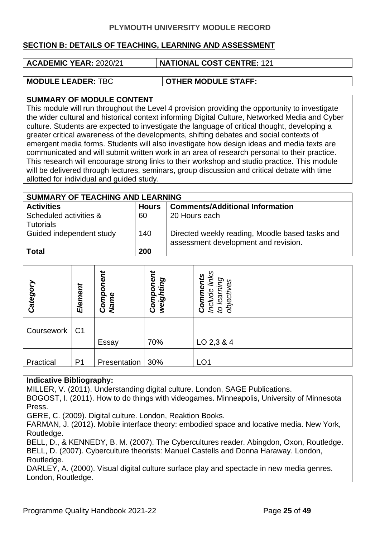#### **SECTION B: DETAILS OF TEACHING, LEARNING AND ASSESSMENT**

**ACADEMIC YEAR:** 2020/21 **NATIONAL COST CENTRE:** 121

**MODULE LEADER:** TBC **OTHER MODULE STAFF:** 

#### **SUMMARY OF MODULE CONTENT**

This module will run throughout the Level 4 provision providing the opportunity to investigate the wider cultural and historical context informing Digital Culture, Networked Media and Cyber culture. Students are expected to investigate the language of critical thought, developing a greater critical awareness of the developments, shifting debates and social contexts of emergent media forms. Students will also investigate how design ideas and media texts are communicated and will submit written work in an area of research personal to their practice. This research will encourage strong links to their workshop and studio practice. This module will be delivered through lectures, seminars, group discussion and critical debate with time allotted for individual and guided study.

| <b>SUMMARY OF TEACHING AND LEARNING</b>    |              |                                                                                         |  |  |  |
|--------------------------------------------|--------------|-----------------------------------------------------------------------------------------|--|--|--|
| <b>Activities</b>                          | <b>Hours</b> | <b>Comments/Additional Information</b>                                                  |  |  |  |
| Scheduled activities &<br><b>Tutorials</b> | 60           | 20 Hours each                                                                           |  |  |  |
| Guided independent study                   | 140          | Directed weekly reading, Moodle based tasks and<br>assessment development and revision. |  |  |  |
| <b>Total</b>                               | 200          |                                                                                         |  |  |  |

| Category   | Element        | ηeι<br>ò<br>Comp<br><b>Name</b> | Component<br>weighting | links<br><b>Comments</b><br>ĎЦ<br>ဖ<br>Φ<br>Include<br>objectiv<br>lea<br>$\mathcal{G}$ |
|------------|----------------|---------------------------------|------------------------|-----------------------------------------------------------------------------------------|
| Coursework | C <sub>1</sub> |                                 |                        |                                                                                         |
|            |                | Essay                           | 70%                    | LO 2,3 & 4                                                                              |
| Practical  | P <sub>1</sub> | Presentation                    | 30%                    | LO <sub>1</sub>                                                                         |

#### **Indicative Bibliography:**

MILLER, V. (2011). Understanding digital culture. London, SAGE Publications.

BOGOST, I. (2011). How to do things with videogames. Minneapolis, University of Minnesota Press.

GERE, C. (2009). Digital culture. London, Reaktion Books.

FARMAN, J. (2012). Mobile interface theory: embodied space and locative media. New York, Routledge.

BELL, D., & KENNEDY, B. M. (2007). The Cybercultures reader. Abingdon, Oxon, Routledge. BELL, D. (2007). Cyberculture theorists: Manuel Castells and Donna Haraway. London, Routledge.

DARLEY, A. (2000). Visual digital culture surface play and spectacle in new media genres. London, Routledge.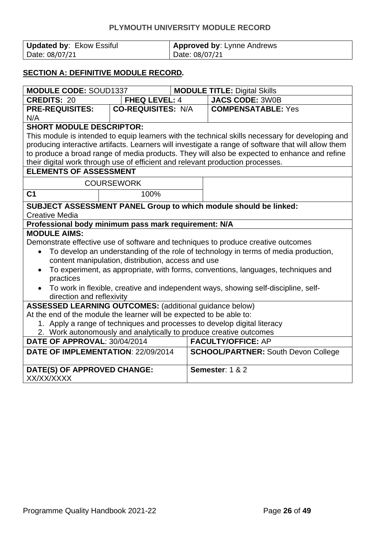| Updated by: Ekow Essiful | <b>Approved by: Lynne Andrews</b> |
|--------------------------|-----------------------------------|
| Date: 08/07/21           | Date: 08/07/21                    |

#### **SECTION A: DEFINITIVE MODULE RECORD***.*

| <b>MODULE CODE: SOUD1337</b>                                                   |                                                    | <b>MODULE TITLE: Digital Skills</b> |                                                                                                     |  |  |  |
|--------------------------------------------------------------------------------|----------------------------------------------------|-------------------------------------|-----------------------------------------------------------------------------------------------------|--|--|--|
| <b>CREDITS: 20</b>                                                             | <b>FHEQ LEVEL: 4</b>                               |                                     | <b>JACS CODE: 3W0B</b>                                                                              |  |  |  |
| <b>PRE-REQUISITES:</b>                                                         | <b>CO-REQUISITES: N/A</b>                          |                                     | <b>COMPENSATABLE: Yes</b>                                                                           |  |  |  |
| N/A                                                                            |                                                    |                                     |                                                                                                     |  |  |  |
| <b>SHORT MODULE DESCRIPTOR:</b>                                                |                                                    |                                     |                                                                                                     |  |  |  |
|                                                                                |                                                    |                                     | This module is intended to equip learners with the technical skills necessary for developing and    |  |  |  |
|                                                                                |                                                    |                                     | producing interactive artifacts. Learners will investigate a range of software that will allow them |  |  |  |
|                                                                                |                                                    |                                     | to produce a broad range of media products. They will also be expected to enhance and refine        |  |  |  |
| their digital work through use of efficient and relevant production processes. |                                                    |                                     |                                                                                                     |  |  |  |
| <b>ELEMENTS OF ASSESSMENT</b>                                                  |                                                    |                                     |                                                                                                     |  |  |  |
|                                                                                | <b>COURSEWORK</b>                                  |                                     |                                                                                                     |  |  |  |
| C <sub>1</sub>                                                                 | 100%                                               |                                     |                                                                                                     |  |  |  |
|                                                                                |                                                    |                                     | SUBJECT ASSESSMENT PANEL Group to which module should be linked:                                    |  |  |  |
| <b>Creative Media</b>                                                          |                                                    |                                     |                                                                                                     |  |  |  |
| Professional body minimum pass mark requirement: N/A                           |                                                    |                                     |                                                                                                     |  |  |  |
| <b>MODULE AIMS:</b>                                                            |                                                    |                                     |                                                                                                     |  |  |  |
|                                                                                |                                                    |                                     | Demonstrate effective use of software and techniques to produce creative outcomes                   |  |  |  |
|                                                                                |                                                    |                                     | To develop an understanding of the role of technology in terms of media production,                 |  |  |  |
|                                                                                | content manipulation, distribution, access and use |                                     |                                                                                                     |  |  |  |
|                                                                                |                                                    |                                     | To experiment, as appropriate, with forms, conventions, languages, techniques and                   |  |  |  |
| practices                                                                      |                                                    |                                     |                                                                                                     |  |  |  |
|                                                                                |                                                    |                                     | To work in flexible, creative and independent ways, showing self-discipline, self-                  |  |  |  |
| direction and reflexivity                                                      |                                                    |                                     |                                                                                                     |  |  |  |
| <b>ASSESSED LEARNING OUTCOMES: (additional guidance below)</b>                 |                                                    |                                     |                                                                                                     |  |  |  |
| At the end of the module the learner will be expected to be able to:           |                                                    |                                     |                                                                                                     |  |  |  |
| 1. Apply a range of techniques and processes to develop digital literacy       |                                                    |                                     |                                                                                                     |  |  |  |
| 2. Work autonomously and analytically to produce creative outcomes             |                                                    |                                     |                                                                                                     |  |  |  |
| DATE OF APPROVAL: 30/04/2014                                                   |                                                    |                                     | <b>FACULTY/OFFICE: AP</b>                                                                           |  |  |  |
| DATE OF IMPLEMENTATION: 22/09/2014                                             |                                                    |                                     | <b>SCHOOL/PARTNER: South Devon College</b>                                                          |  |  |  |
| DATE(S) OF APPROVED CHANGE:                                                    |                                                    |                                     | Semester: 1 & 2                                                                                     |  |  |  |
| XX/XX/XXXX                                                                     |                                                    |                                     |                                                                                                     |  |  |  |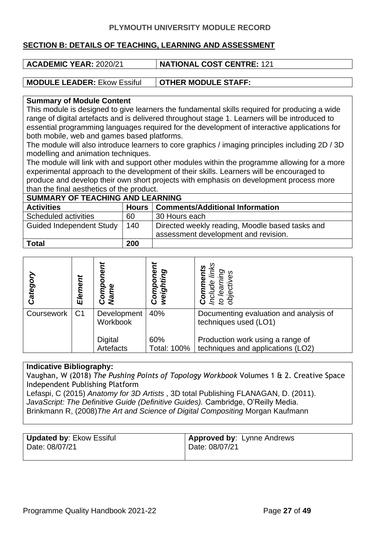#### **SECTION B: DETAILS OF TEACHING, LEARNING AND ASSESSMENT**

| ACADEMIC YEAR: 2020/21             | <b>NATIONAL COST CENTRE: 121</b> |
|------------------------------------|----------------------------------|
|                                    |                                  |
| <b>MODULE LEADER: Ekow Essiful</b> | OTHER MODULE STAFF:              |

#### **Summary of Module Content**

This module is designed to give learners the fundamental skills required for producing a wide range of digital artefacts and is delivered throughout stage 1. Learners will be introduced to essential programming languages required for the development of interactive applications for both mobile, web and games based platforms.

The module will also introduce learners to core graphics / imaging principles including 2D / 3D modelling and animation techniques.

The module will link with and support other modules within the programme allowing for a more experimental approach to the development of their skills. Learners will be encouraged to produce and develop their own short projects with emphasis on development process more than the final aesthetics of the product.

| <b>SUMMARY OF TEACHING AND LEARNING</b> |     |                                                 |  |
|-----------------------------------------|-----|-------------------------------------------------|--|
| <b>Activities</b>                       |     | Hours   Comments/Additional Information         |  |
| Scheduled activities                    | 60  | 30 Hours each                                   |  |
| <b>Guided Independent Study</b>         | 140 | Directed weekly reading, Moodle based tasks and |  |
|                                         |     | assessment development and revision.            |  |
| <b>Total</b>                            | 200 |                                                 |  |

| Categor    | Element        | g<br>Nami<br>N<br>Com   | O)<br>weigh<br>Com | Ω.                                                                    |
|------------|----------------|-------------------------|--------------------|-----------------------------------------------------------------------|
| Coursework | C <sub>1</sub> | Development<br>Workbook | 40%                | Documenting evaluation and analysis of<br>techniques used (LO1)       |
|            |                | Digital<br>Artefacts    | 60%<br>Total: 100% | Production work using a range of<br>techniques and applications (LO2) |

#### **Indicative Bibliography:**

Vaughan, W (2018) *The Pushing Points of Topology Workbook* Volumes 1 & 2. Creative Space Independent Publishing Platform

Lefaspi, C (2015) *Anatomy for 3D Artists* , 3D total Publishing FLANAGAN, D. (2011). *JavaScript: The Definitive Guide (Definitive Guides).* Cambridge, O'Reilly Media. Brinkmann R, (2008)*The Art and Science of Digital Compositing* Morgan Kaufmann

| Updated by: Ekow Essiful | <b>Approved by: Lynne Andrews</b> |
|--------------------------|-----------------------------------|
| Date: 08/07/21           | Date: 08/07/21                    |
|                          |                                   |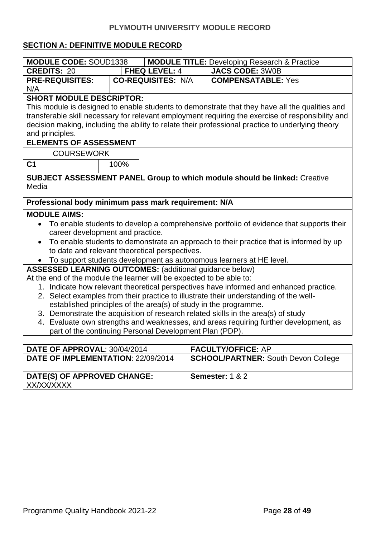#### **SECTION A: DEFINITIVE MODULE RECORD**

| <b>MODULE CODE: SOUD1338</b>                                                          |                                                                                         |                           | <b>MODULE TITLE: Developing Research &amp; Practice</b> |                                                                                                   |  |
|---------------------------------------------------------------------------------------|-----------------------------------------------------------------------------------------|---------------------------|---------------------------------------------------------|---------------------------------------------------------------------------------------------------|--|
| <b>CREDITS: 20</b>                                                                    | <b>FHEQ LEVEL: 4</b>                                                                    |                           |                                                         | <b>JACS CODE: 3W0B</b>                                                                            |  |
| <b>PRE-REQUISITES:</b>                                                                |                                                                                         | <b>CO-REQUISITES: N/A</b> |                                                         | <b>COMPENSATABLE: Yes</b>                                                                         |  |
| N/A                                                                                   |                                                                                         |                           |                                                         |                                                                                                   |  |
| <b>SHORT MODULE DESCRIPTOR:</b>                                                       |                                                                                         |                           |                                                         |                                                                                                   |  |
|                                                                                       |                                                                                         |                           |                                                         | This module is designed to enable students to demonstrate that they have all the qualities and    |  |
|                                                                                       |                                                                                         |                           |                                                         | transferable skill necessary for relevant employment requiring the exercise of responsibility and |  |
|                                                                                       |                                                                                         |                           |                                                         | decision making, including the ability to relate their professional practice to underlying theory |  |
| and principles.                                                                       |                                                                                         |                           |                                                         |                                                                                                   |  |
| <b>ELEMENTS OF ASSESSMENT</b>                                                         |                                                                                         |                           |                                                         |                                                                                                   |  |
| <b>COURSEWORK</b>                                                                     |                                                                                         |                           |                                                         |                                                                                                   |  |
| C <sub>1</sub>                                                                        | 100%                                                                                    |                           |                                                         |                                                                                                   |  |
|                                                                                       |                                                                                         |                           |                                                         | <b>SUBJECT ASSESSMENT PANEL Group to which module should be linked: Creative</b>                  |  |
| Media                                                                                 |                                                                                         |                           |                                                         |                                                                                                   |  |
|                                                                                       |                                                                                         |                           |                                                         |                                                                                                   |  |
|                                                                                       | Professional body minimum pass mark requirement: N/A                                    |                           |                                                         |                                                                                                   |  |
| <b>MODULE AIMS:</b>                                                                   |                                                                                         |                           |                                                         |                                                                                                   |  |
|                                                                                       | To enable students to develop a comprehensive portfolio of evidence that supports their |                           |                                                         |                                                                                                   |  |
| career development and practice.                                                      |                                                                                         |                           |                                                         |                                                                                                   |  |
| $\bullet$                                                                             | To enable students to demonstrate an approach to their practice that is informed by up  |                           |                                                         |                                                                                                   |  |
| to date and relevant theoretical perspectives.                                        |                                                                                         |                           |                                                         |                                                                                                   |  |
| To support students development as autonomous learners at HE level.                   |                                                                                         |                           |                                                         |                                                                                                   |  |
| <b>ASSESSED LEARNING OUTCOMES:</b> (additional guidance below)                        |                                                                                         |                           |                                                         |                                                                                                   |  |
|                                                                                       | At the end of the module the learner will be expected to be able to:                    |                           |                                                         |                                                                                                   |  |
|                                                                                       |                                                                                         |                           |                                                         | 1. Indicate how relevant theoretical perspectives have informed and enhanced practice.            |  |
| 2. Select examples from their practice to illustrate their understanding of the well- |                                                                                         |                           |                                                         |                                                                                                   |  |
| established principles of the area(s) of study in the programme.                      |                                                                                         |                           |                                                         |                                                                                                   |  |
|                                                                                       | 3. Demonstrate the acquisition of research related skills in the area(s) of study       |                           |                                                         |                                                                                                   |  |
| 4. Evaluate own strengths and weaknesses, and areas requiring further development, as |                                                                                         |                           |                                                         |                                                                                                   |  |
| part of the continuing Personal Development Plan (PDP).                               |                                                                                         |                           |                                                         |                                                                                                   |  |
|                                                                                       |                                                                                         |                           |                                                         |                                                                                                   |  |
| DATE OF APPROVAL: 30/04/2014                                                          |                                                                                         |                           |                                                         | <b>FACULTY/OFFICE: AP</b>                                                                         |  |

| <b>DATE OF APPROVAL: 30/04/2014</b>       | <b>FACULTY/OFFICE: AP</b>                  |
|-------------------------------------------|--------------------------------------------|
| <b>DATE OF IMPLEMENTATION: 22/09/2014</b> | <b>SCHOOL/PARTNER: South Devon College</b> |
|                                           |                                            |
| DATE(S) OF APPROVED CHANGE:               | Semester: $1 & 2$                          |
| XX/XX/XXXX                                |                                            |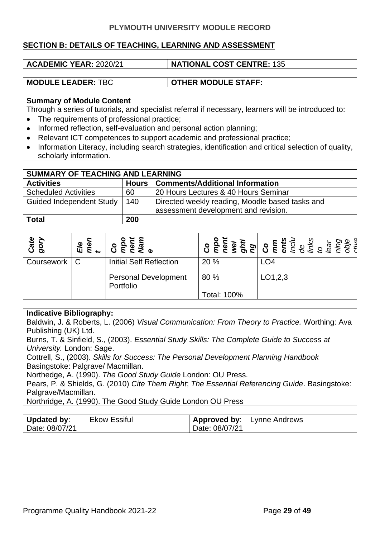#### **SECTION B: DETAILS OF TEACHING, LEARNING AND ASSESSMENT**

| <b>ACADEMIC YEAR: 2020/21</b> | <b>NATIONAL COST CENTRE: 135</b> |
|-------------------------------|----------------------------------|
|                               |                                  |
| <b>MODULE LEADER: TBC</b>     | <b>OTHER MODULE STAFF:</b>       |

#### **Summary of Module Content**

Through a series of tutorials, and specialist referral if necessary, learners will be introduced to:

- The requirements of professional practice;
- Informed reflection, self-evaluation and personal action planning;
- Relevant ICT competences to support academic and professional practice;
- Information Literacy, including search strategies, identification and critical selection of quality, scholarly information.

| SUMMARY OF TEACHING AND LEARNING |     |                                                                                         |  |
|----------------------------------|-----|-----------------------------------------------------------------------------------------|--|
| <b>Activities</b>                |     | Hours   Comments/Additional Information                                                 |  |
| <b>Scheduled Activities</b>      | 60  | 20 Hours Lectures & 40 Hours Seminar                                                    |  |
| <b>Guided Independent Study</b>  | 140 | Directed weekly reading, Moodle based tasks and<br>assessment development and revision. |  |
| <b>Total</b>                     | 200 |                                                                                         |  |

| Cate<br>oory | mei<br>Ele | $\begin{array}{c} \circ \\ \circ \\ \circ \\ \circ \end{array}$ |             | <b>Contract of the Second Contract Contract Contract Contract Contract Contract Contract Contract Contract Contract</b><br><b>Contract Contract Contract Contract Contract Contract Contract Contract Contract Contract Contract Contrac</b> |
|--------------|------------|-----------------------------------------------------------------|-------------|----------------------------------------------------------------------------------------------------------------------------------------------------------------------------------------------------------------------------------------------|
| Coursework   |            | Initial Self Reflection                                         | 20 %        | LO <sub>4</sub>                                                                                                                                                                                                                              |
|              |            | <b>Personal Development</b><br>Portfolio                        | 80 %        | LO1,2,3                                                                                                                                                                                                                                      |
|              |            |                                                                 | Total: 100% |                                                                                                                                                                                                                                              |

#### **Indicative Bibliography:**

Baldwin, J. & Roberts, L. (2006) *Visual Communication: From Theory to Practice.* Worthing: Ava Publishing (UK) Ltd.

Burns, T. & Sinfield, S., (2003). *Essential Study Skills: The Complete Guide to Success at University.* London: Sage.

Cottrell, S., (2003). *Skills for Success: The Personal Development Planning Handbook*  Basingstoke: Palgrave/ Macmillan.

Northedge, A. (1990). *The Good Study Guide* London: OU Press.

Pears, P. & Shields, G. (2010) *Cite Them Right*; *The Essential Referencing Guide*. Basingstoke: Palgrave/Macmillan.

Northridge, A. (1990). The Good Study Guide London OU Press

| <b>Updated by:</b> | <b>Ekow Essiful</b> |                | <b>Approved by:</b> Lynne Andrews |
|--------------------|---------------------|----------------|-----------------------------------|
| Date: 08/07/21     |                     | Date: 08/07/21 |                                   |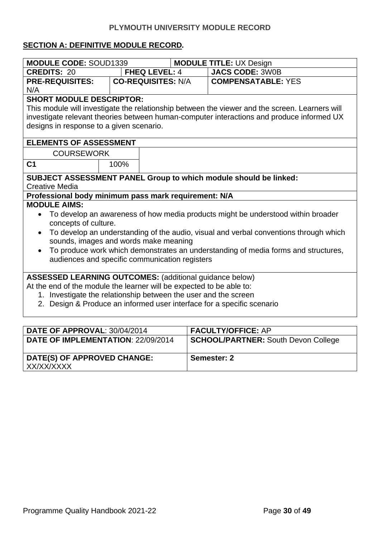#### **SECTION A: DEFINITIVE MODULE RECORD***.*

| <b>MODULE CODE: SOUD1339</b>                                                     |                                                                                                                                | <b>MODULE TITLE: UX Design</b> |                                                                                                |  |  |
|----------------------------------------------------------------------------------|--------------------------------------------------------------------------------------------------------------------------------|--------------------------------|------------------------------------------------------------------------------------------------|--|--|
| <b>CREDITS: 20</b>                                                               | <b>FHEQ LEVEL: 4</b>                                                                                                           |                                | <b>JACS CODE: 3W0B</b>                                                                         |  |  |
| <b>PRE-REQUISITES:</b>                                                           | <b>CO-REQUISITES: N/A</b>                                                                                                      |                                | <b>COMPENSATABLE: YES</b>                                                                      |  |  |
| N/A                                                                              |                                                                                                                                |                                |                                                                                                |  |  |
| <b>SHORT MODULE DESCRIPTOR:</b>                                                  |                                                                                                                                |                                |                                                                                                |  |  |
|                                                                                  |                                                                                                                                |                                | This module will investigate the relationship between the viewer and the screen. Learners will |  |  |
|                                                                                  |                                                                                                                                |                                | investigate relevant theories between human-computer interactions and produce informed UX      |  |  |
| designs in response to a given scenario.                                         |                                                                                                                                |                                |                                                                                                |  |  |
| <b>ELEMENTS OF ASSESSMENT</b>                                                    |                                                                                                                                |                                |                                                                                                |  |  |
| <b>COURSEWORK</b>                                                                |                                                                                                                                |                                |                                                                                                |  |  |
| C <sub>1</sub>                                                                   | 100%                                                                                                                           |                                |                                                                                                |  |  |
|                                                                                  |                                                                                                                                |                                | SUBJECT ASSESSMENT PANEL Group to which module should be linked:                               |  |  |
| <b>Creative Media</b>                                                            |                                                                                                                                |                                |                                                                                                |  |  |
| Professional body minimum pass mark requirement: N/A                             |                                                                                                                                |                                |                                                                                                |  |  |
| <b>MODULE AIMS:</b>                                                              |                                                                                                                                |                                |                                                                                                |  |  |
| To develop an awareness of how media products might be understood within broader |                                                                                                                                |                                |                                                                                                |  |  |
| concepts of culture.                                                             |                                                                                                                                |                                |                                                                                                |  |  |
|                                                                                  | To develop an understanding of the audio, visual and verbal conventions through which<br>sounds, images and words make meaning |                                |                                                                                                |  |  |
| $\bullet$                                                                        | To produce work which demonstrates an understanding of media forms and structures,                                             |                                |                                                                                                |  |  |
| audiences and specific communication registers                                   |                                                                                                                                |                                |                                                                                                |  |  |
|                                                                                  |                                                                                                                                |                                |                                                                                                |  |  |
| <b>ASSESSED LEARNING OUTCOMES:</b> (additional guidance below)                   |                                                                                                                                |                                |                                                                                                |  |  |
| At the end of the module the learner will be expected to be able to:             |                                                                                                                                |                                |                                                                                                |  |  |
| 1. Investigate the relationship between the user and the screen                  |                                                                                                                                |                                |                                                                                                |  |  |
| 2. Design & Produce an informed user interface for a specific scenario           |                                                                                                                                |                                |                                                                                                |  |  |
|                                                                                  |                                                                                                                                |                                |                                                                                                |  |  |
| DATE OF APPROVAL: 30/04/2014                                                     |                                                                                                                                |                                | <b>FACULTY/OFFICE: AP</b>                                                                      |  |  |
| DATE OF IMPLEMENTATION: 22/09/2014                                               |                                                                                                                                |                                | <b>SCHOOL/PARTNER: South Devon College</b>                                                     |  |  |

**Semester: 2**

**DATE(S) OF APPROVED CHANGE:**

XX/XX/XXXX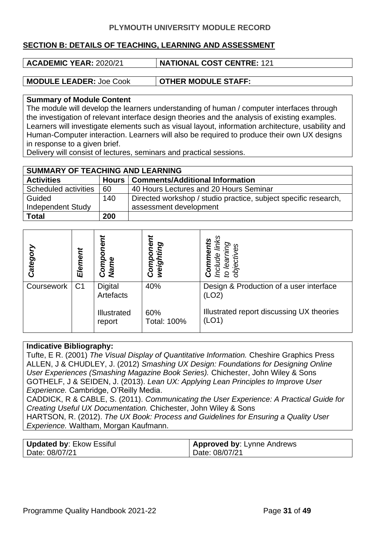#### **SECTION B: DETAILS OF TEACHING, LEARNING AND ASSESSMENT**

| ACADEMIC YEAR: 2020/21         | <b>NATIONAL COST CENTRE: 121</b> |
|--------------------------------|----------------------------------|
|                                |                                  |
| <b>MODULE LEADER: Joe Cook</b> | <b>OTHER MODULE STAFF:</b>       |

#### **Summary of Module Content**

The module will develop the learners understanding of human / computer interfaces through the investigation of relevant interface design theories and the analysis of existing examples. Learners will investigate elements such as visual layout, information architecture, usability and Human-Computer interaction. Learners will also be required to produce their own UX designs in response to a given brief.

Delivery will consist of lectures, seminars and practical sessions.

| <b>SUMMARY OF TEACHING AND LEARNING</b> |     |                                                                 |  |
|-----------------------------------------|-----|-----------------------------------------------------------------|--|
| <b>Activities</b>                       |     | Hours   Comments/Additional Information                         |  |
| Scheduled activities                    | 60  | 40 Hours Lectures and 20 Hours Seminar                          |  |
| Guided                                  | 140 | Directed workshop / studio practice, subject specific research, |  |
| <b>Independent Study</b>                |     | assessment development                                          |  |
| <b>Total</b>                            | 200 |                                                                 |  |

| Categor    | Element        | ent<br>ò<br>Comp<br>Name                      | ğ<br>weighting<br>Comp           | ပ္သ<br>O)<br>Sə<br><b>objectiv</b><br>lea<br>င်္လ<br>ion<br>g                                          |
|------------|----------------|-----------------------------------------------|----------------------------------|--------------------------------------------------------------------------------------------------------|
| Coursework | C <sub>1</sub> | Digital<br>Artefacts<br>Illustrated<br>report | 40%<br>60%<br><b>Total: 100%</b> | Design & Production of a user interface<br>(LO2)<br>Illustrated report discussing UX theories<br>(LO1) |

#### **Indicative Bibliography:**

Tufte, E R. (2001) *The Visual Display of Quantitative Information.* Cheshire Graphics Press ALLEN, J & CHUDLEY, J. (2012) *Smashing UX Design: Foundations for Designing Online User Experiences (Smashing Magazine Book Series).* Chichester, John Wiley & Sons GOTHELF, J & SEIDEN, J. (2013). *Lean UX: Applying Lean Principles to Improve User Experience.* Cambridge, O'Reilly Media.

CADDICK, R & CABLE, S. (2011). *Communicating the User Experience: A Practical Guide for Creating Useful UX Documentation.* Chichester, John Wiley & Sons

HARTSON, R. (2012). *The UX Book: Process and Guidelines for Ensuring a Quality User Experience.* Waltham, Morgan Kaufmann.

| <b>Updated by: Ekow Essiful</b> | <b>Approved by: Lynne Andrews</b> |
|---------------------------------|-----------------------------------|
| Date: 08/07/21                  | Date: 08/07/21                    |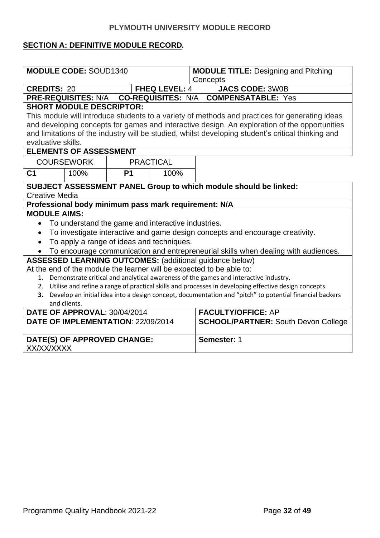#### **SECTION A: DEFINITIVE MODULE RECORD***.*

| <b>MODULE CODE: SOUD1340</b>                                                                                               | <b>MODULE TITLE: Designing and Pitching</b> |  |  |  |  |  |
|----------------------------------------------------------------------------------------------------------------------------|---------------------------------------------|--|--|--|--|--|
| Concepts                                                                                                                   |                                             |  |  |  |  |  |
| <b>FHEQ LEVEL: 4</b><br><b>CREDITS: 20</b><br><b>JACS CODE: 3W0B</b>                                                       |                                             |  |  |  |  |  |
| <b>COMPENSATABLE: Yes</b><br><b>PRE-REQUISITES: N/A   </b><br><b>CO-REQUISITES: N/A  </b>                                  |                                             |  |  |  |  |  |
| <b>SHORT MODULE DESCRIPTOR:</b>                                                                                            |                                             |  |  |  |  |  |
| This module will introduce students to a variety of methods and practices for generating ideas                             |                                             |  |  |  |  |  |
| and developing concepts for games and interactive design. An exploration of the opportunities                              |                                             |  |  |  |  |  |
| and limitations of the industry will be studied, whilst developing student's critical thinking and                         |                                             |  |  |  |  |  |
| evaluative skills.                                                                                                         |                                             |  |  |  |  |  |
| <b>ELEMENTS OF ASSESSMENT</b>                                                                                              |                                             |  |  |  |  |  |
| <b>COURSEWORK</b><br><b>PRACTICAL</b>                                                                                      |                                             |  |  |  |  |  |
| C <sub>1</sub><br><b>P1</b><br>100%<br>100%                                                                                |                                             |  |  |  |  |  |
| SUBJECT ASSESSMENT PANEL Group to which module should be linked:                                                           |                                             |  |  |  |  |  |
| <b>Creative Media</b>                                                                                                      |                                             |  |  |  |  |  |
| Professional body minimum pass mark requirement: N/A                                                                       |                                             |  |  |  |  |  |
| <b>MODULE AIMS:</b>                                                                                                        |                                             |  |  |  |  |  |
| To understand the game and interactive industries.                                                                         |                                             |  |  |  |  |  |
| To investigate interactive and game design concepts and encourage creativity.<br>$\bullet$                                 |                                             |  |  |  |  |  |
| To apply a range of ideas and techniques.                                                                                  |                                             |  |  |  |  |  |
| To encourage communication and entrepreneurial skills when dealing with audiences.                                         |                                             |  |  |  |  |  |
| <b>ASSESSED LEARNING OUTCOMES: (additional guidance below)</b>                                                             |                                             |  |  |  |  |  |
| At the end of the module the learner will be expected to be able to:                                                       |                                             |  |  |  |  |  |
| 1. Demonstrate critical and analytical awareness of the games and interactive industry.                                    |                                             |  |  |  |  |  |
| 2. Utilise and refine a range of practical skills and processes in developing effective design concepts.                   |                                             |  |  |  |  |  |
| 3. Develop an initial idea into a design concept, documentation and "pitch" to potential financial backers<br>and clients. |                                             |  |  |  |  |  |
| DATE OF APPROVAL: 30/04/2014<br><b>FACULTY/OFFICE: AP</b>                                                                  |                                             |  |  |  |  |  |
| DATE OF IMPLEMENTATION: 22/09/2014<br><b>SCHOOL/PARTNER: South Devon College</b>                                           |                                             |  |  |  |  |  |
| DATE(S) OF APPROVED CHANGE:<br>Semester: 1                                                                                 |                                             |  |  |  |  |  |
| XX/XX/XXXX                                                                                                                 |                                             |  |  |  |  |  |
|                                                                                                                            |                                             |  |  |  |  |  |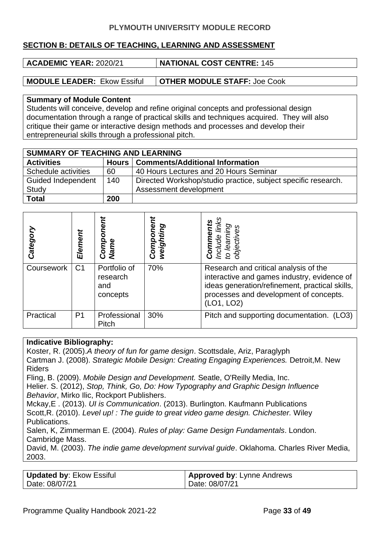#### **SECTION B: DETAILS OF TEACHING, LEARNING AND ASSESSMENT**

| ACADEMIC YEAR: 2020/21 | NATIONAL COST CENTRE: 145 |  |  |  |
|------------------------|---------------------------|--|--|--|
|                        |                           |  |  |  |

**MODULE LEADER:** Ekow Essiful **OTHER MODULE STAFF:** Joe Cook

#### **Summary of Module Content**

Students will conceive, develop and refine original concepts and professional design documentation through a range of practical skills and techniques acquired. They will also critique their game or interactive design methods and processes and develop their entrepreneurial skills through a professional pitch.

| <b>SUMMARY OF TEACHING AND LEARNING</b> |         |                                                               |  |  |
|-----------------------------------------|---------|---------------------------------------------------------------|--|--|
| <b>Activities</b>                       | Hours I | <b>Comments/Additional Information</b>                        |  |  |
| Schedule activities                     | 60      | 40 Hours Lectures and 20 Hours Seminar                        |  |  |
| <b>Guided Independent</b>               | 140     | Directed Workshop/studio practice, subject specific research. |  |  |
| Study                                   |         | Assessment development                                        |  |  |
| <b>Total</b>                            | 200     |                                                               |  |  |

| Categor           | Element        | ஜ்<br>Name<br>Com,                          | weighting<br>mor |                                                                                                                                                                                                |
|-------------------|----------------|---------------------------------------------|------------------|------------------------------------------------------------------------------------------------------------------------------------------------------------------------------------------------|
| <b>Coursework</b> | C <sub>1</sub> | Portfolio of<br>research<br>and<br>concepts | 70%              | Research and critical analysis of the<br>interactive and games industry, evidence of<br>ideas generation/refinement, practical skills,<br>processes and development of concepts.<br>(LO1, LO2) |
| Practical         | P <sub>1</sub> | Professional<br>Pitch                       | 30%              | Pitch and supporting documentation.<br>(LO3)                                                                                                                                                   |

#### **Indicative Bibliography:**

Koster, R. (2005).*A theory of fun for game design*. Scottsdale, Ariz, Paraglyph Cartman J. (2008). *Strategic Mobile Design: Creating Engaging Experiences.* Detroit,M. New Riders Fling, B. (2009). *Mobile Design and Development.* Seatle, O'Reilly Media, Inc.

Helier. S. (2012), *Stop, Think, Go, Do: How Typography and Graphic Design Influence Behavior*, Mirko Ilic, Rockport Publishers.

Mckay,E . (2013). *UI is Communication*. (2013). Burlington. Kaufmann Publications Scott,R. (2010). *Level up! : The guide to great video game design. Chichester.* Wiley Publications.

Salen, K, Zimmerman E. (2004). *Rules of play: Game Design Fundamentals*. London. Cambridge Mass.

David, M. (2003). *The indie game development survival guide*. Oklahoma. Charles River Media, 2003.

| <b>Updated by: Ekow Essiful</b> | <b>Approved by: Lynne Andrews</b> |
|---------------------------------|-----------------------------------|
| Date: 08/07/21                  | Date: 08/07/21                    |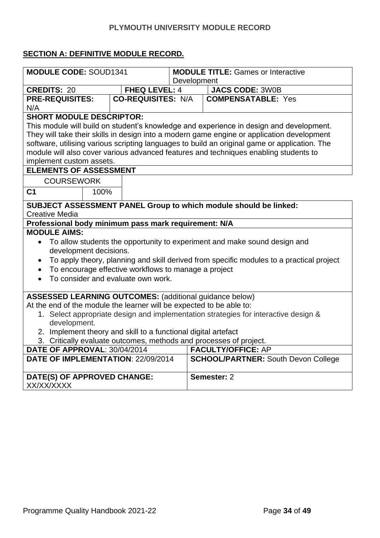### **SECTION A: DEFINITIVE MODULE RECORD***.*

| <b>MODULE CODE: SOUD1341</b>                                                                                                           |                                                      | <b>MODULE TITLE: Games or Interactive</b>                                                     |  |  |  |
|----------------------------------------------------------------------------------------------------------------------------------------|------------------------------------------------------|-----------------------------------------------------------------------------------------------|--|--|--|
|                                                                                                                                        |                                                      | Development                                                                                   |  |  |  |
| <b>CREDITS: 20</b>                                                                                                                     | <b>FHEQ LEVEL: 4</b>                                 | <b>JACS CODE: 3W0B</b>                                                                        |  |  |  |
| <b>PRE-REQUISITES:</b>                                                                                                                 | <b>CO-REQUISITES: N/A</b>                            | <b>COMPENSATABLE: Yes</b>                                                                     |  |  |  |
| N/A                                                                                                                                    |                                                      |                                                                                               |  |  |  |
| <b>SHORT MODULE DESCRIPTOR:</b>                                                                                                        |                                                      |                                                                                               |  |  |  |
|                                                                                                                                        |                                                      | This module will build on student's knowledge and experience in design and development.       |  |  |  |
|                                                                                                                                        |                                                      | They will take their skills in design into a modern game engine or application development    |  |  |  |
|                                                                                                                                        |                                                      | software, utilising various scripting languages to build an original game or application. The |  |  |  |
|                                                                                                                                        |                                                      | module will also cover various advanced features and techniques enabling students to          |  |  |  |
| implement custom assets.                                                                                                               |                                                      |                                                                                               |  |  |  |
| <b>ELEMENTS OF ASSESSMENT</b>                                                                                                          |                                                      |                                                                                               |  |  |  |
| <b>COURSEWORK</b>                                                                                                                      |                                                      |                                                                                               |  |  |  |
| C <sub>1</sub><br>100%                                                                                                                 |                                                      |                                                                                               |  |  |  |
|                                                                                                                                        |                                                      | SUBJECT ASSESSMENT PANEL Group to which module should be linked:                              |  |  |  |
| <b>Creative Media</b>                                                                                                                  |                                                      |                                                                                               |  |  |  |
| Professional body minimum pass mark requirement: N/A                                                                                   |                                                      |                                                                                               |  |  |  |
| <b>MODULE AIMS:</b>                                                                                                                    |                                                      |                                                                                               |  |  |  |
|                                                                                                                                        |                                                      | • To allow students the opportunity to experiment and make sound design and                   |  |  |  |
| development decisions.                                                                                                                 |                                                      |                                                                                               |  |  |  |
| $\bullet$                                                                                                                              |                                                      | To apply theory, planning and skill derived from specific modules to a practical project      |  |  |  |
| $\bullet$                                                                                                                              | To encourage effective workflows to manage a project |                                                                                               |  |  |  |
| $\bullet$                                                                                                                              | To consider and evaluate own work.                   |                                                                                               |  |  |  |
|                                                                                                                                        |                                                      |                                                                                               |  |  |  |
|                                                                                                                                        |                                                      |                                                                                               |  |  |  |
| <b>ASSESSED LEARNING OUTCOMES: (additional guidance below)</b><br>At the end of the module the learner will be expected to be able to: |                                                      |                                                                                               |  |  |  |
|                                                                                                                                        |                                                      |                                                                                               |  |  |  |
| 1. Select appropriate design and implementation strategies for interactive design &<br>development.                                    |                                                      |                                                                                               |  |  |  |
| 2. Implement theory and skill to a functional digital artefact                                                                         |                                                      |                                                                                               |  |  |  |
| 3. Critically evaluate outcomes, methods and processes of project.                                                                     |                                                      |                                                                                               |  |  |  |
| DATE OF APPROVAL: 30/04/2014                                                                                                           |                                                      | <b>FACULTY/OFFICE: AP</b>                                                                     |  |  |  |
| DATE OF IMPLEMENTATION: 22/09/2014                                                                                                     |                                                      | <b>SCHOOL/PARTNER: South Devon College</b>                                                    |  |  |  |
|                                                                                                                                        |                                                      |                                                                                               |  |  |  |
| DATE(S) OF APPROVED CHANGE:                                                                                                            |                                                      | Semester: 2                                                                                   |  |  |  |
| XX/XX/XXXX                                                                                                                             |                                                      |                                                                                               |  |  |  |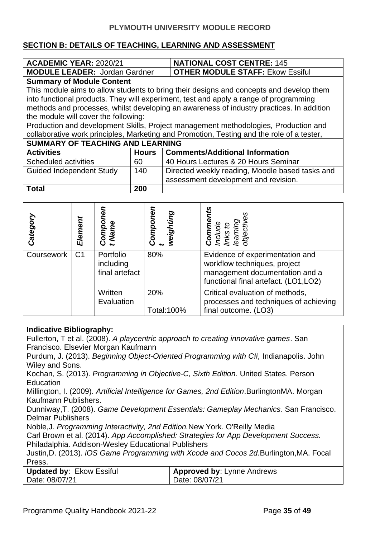#### **SECTION B: DETAILS OF TEACHING, LEARNING AND ASSESSMENT**

| <b>ACADEMIC YEAR: 2020/21</b>           |                                                        | <b>NATIONAL COST CENTRE: 145</b>                                                          |  |  |
|-----------------------------------------|--------------------------------------------------------|-------------------------------------------------------------------------------------------|--|--|
| <b>MODULE LEADER: Jordan Gardner</b>    |                                                        | <b>OTHER MODULE STAFF: Ekow Essiful</b>                                                   |  |  |
| <b>Summary of Module Content</b>        |                                                        |                                                                                           |  |  |
|                                         |                                                        | This module aims to allow students to bring their designs and concepts and develop them   |  |  |
|                                         |                                                        | into functional products. They will experiment, test and apply a range of programming     |  |  |
|                                         |                                                        | methods and processes, whilst developing an awareness of industry practices. In addition  |  |  |
| the module will cover the following:    |                                                        |                                                                                           |  |  |
|                                         |                                                        | Production and development Skills, Project management methodologies, Production and       |  |  |
|                                         |                                                        | collaborative work principles, Marketing and Promotion, Testing and the role of a tester, |  |  |
| <b>SUMMARY OF TEACHING AND LEARNING</b> |                                                        |                                                                                           |  |  |
| <b>Activities</b>                       | <b>Hours</b>                                           | <b>Comments/Additional Information</b>                                                    |  |  |
| Scheduled activities                    | 60                                                     | 40 Hours Lectures & 20 Hours Seminar                                                      |  |  |
| <b>Guided Independent Study</b>         | Directed weekly reading, Moodle based tasks and<br>140 |                                                                                           |  |  |
| assessment development and revision.    |                                                        |                                                                                           |  |  |
| Total                                   | 200                                                    |                                                                                           |  |  |

| Categor    | Element        | Name<br>ပ                                | omponer<br>weighting | <b>Comme</b><br>Include<br>Iinks to                                                                                                        |
|------------|----------------|------------------------------------------|----------------------|--------------------------------------------------------------------------------------------------------------------------------------------|
| Coursework | C <sub>1</sub> | Portfolio<br>including<br>final artefact | 80%                  | Evidence of experimentation and<br>workflow techniques, project<br>management documentation and a<br>functional final artefact. (LO1, LO2) |
|            |                | Written<br>Evaluation                    | 20%<br>Total:100%    | Critical evaluation of methods,<br>processes and techniques of achieving<br>final outcome. (LO3)                                           |

#### **Indicative Bibliography:**

Fullerton, T et al. (2008). *A playcentric approach to creating innovative games*. San Francisco. Elsevier Morgan Kaufmann

[Purdum,](http://www.wiley.com/WileyCDA/WileyTitle/productCd-1118336925,descCd-authorInfo.html) J. (2013). *Beginning Object-Oriented Programming with C#,* Indianapolis. John Wiley and Sons.

Kochan, S. (2013). *Programming in Objective-C, Sixth Edition*. United States. Person **Education** 

Millington, I. (2009). *Artificial Intelligence for Games, 2nd Edition*.BurlingtonMA. Morgan Kaufmann Publishers.

Dunniway,T. (2008). *Game Development Essentials: Gameplay Mechanics.* San Francisco. Delmar Publishers

Noble,J. *Programming Interactivity, 2nd Edition.*New York. O'Reilly Media

Carl Brown et al. (2014). *App Accomplished: Strategies for App Development Success.* Philadalphia. Addison-Wesley Educational Publishers

Justin,D. (2013). *iOS Game Programming with Xcode and Cocos 2d.*Burlington,MA. Focal Press.

| Updated by: Ekow Essiful | <b>Approved by: Lynne Andrews</b> |
|--------------------------|-----------------------------------|
| Date: 08/07/21           | Date: 08/07/21                    |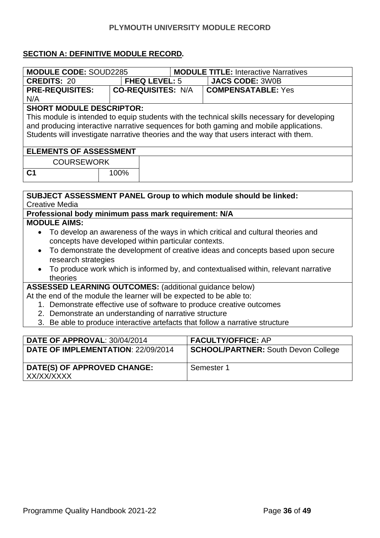### **SECTION A: DEFINITIVE MODULE RECORD***.*

| <b>MODULE CODE: SOUD2285</b>                                                                                                           |      |                           |  | <b>MODULE TITLE: Interactive Narratives</b>                                                  |  |
|----------------------------------------------------------------------------------------------------------------------------------------|------|---------------------------|--|----------------------------------------------------------------------------------------------|--|
| <b>CREDITS: 20</b>                                                                                                                     |      | <b>FHEQ LEVEL: 5</b>      |  | <b>JACS CODE: 3W0B</b>                                                                       |  |
| <b>PRE-REQUISITES:</b>                                                                                                                 |      | <b>CO-REQUISITES: N/A</b> |  | <b>COMPENSATABLE: Yes</b>                                                                    |  |
| N/A                                                                                                                                    |      |                           |  |                                                                                              |  |
| <b>SHORT MODULE DESCRIPTOR:</b>                                                                                                        |      |                           |  |                                                                                              |  |
|                                                                                                                                        |      |                           |  | This module is intended to equip students with the technical skills necessary for developing |  |
|                                                                                                                                        |      |                           |  | and producing interactive narrative sequences for both gaming and mobile applications.       |  |
|                                                                                                                                        |      |                           |  | Students will investigate narrative theories and the way that users interact with them.      |  |
| <b>ELEMENTS OF ASSESSMENT</b>                                                                                                          |      |                           |  |                                                                                              |  |
| <b>COURSEWORK</b>                                                                                                                      |      |                           |  |                                                                                              |  |
| C <sub>1</sub>                                                                                                                         | 100% |                           |  |                                                                                              |  |
|                                                                                                                                        |      |                           |  |                                                                                              |  |
|                                                                                                                                        |      |                           |  |                                                                                              |  |
|                                                                                                                                        |      |                           |  | <b>SUBJECT ASSESSMENT PANEL Group to which module should be linked:</b>                      |  |
| <b>Creative Media</b>                                                                                                                  |      |                           |  |                                                                                              |  |
| Professional body minimum pass mark requirement: N/A                                                                                   |      |                           |  |                                                                                              |  |
| <b>MODULE AIMS:</b>                                                                                                                    |      |                           |  |                                                                                              |  |
|                                                                                                                                        |      |                           |  | To develop an awareness of the ways in which critical and cultural theories and              |  |
| concepts have developed within particular contexts.                                                                                    |      |                           |  |                                                                                              |  |
| To demonstrate the development of creative ideas and concepts based upon secure<br>$\bullet$                                           |      |                           |  |                                                                                              |  |
| research strategies                                                                                                                    |      |                           |  |                                                                                              |  |
|                                                                                                                                        |      |                           |  | To produce work which is informed by, and contextualised within, relevant narrative          |  |
| theories                                                                                                                               |      |                           |  |                                                                                              |  |
| <b>ASSESSED LEARNING OUTCOMES: (additional guidance below)</b><br>At the end of the module the learner will be expected to be able to: |      |                           |  |                                                                                              |  |
| 1. Demonstrate effective use of software to produce creative outcomes                                                                  |      |                           |  |                                                                                              |  |
| 2. Demonstrate an understanding of narrative structure                                                                                 |      |                           |  |                                                                                              |  |
| 3. Be able to produce interactive artefacts that follow a narrative structure                                                          |      |                           |  |                                                                                              |  |
|                                                                                                                                        |      |                           |  |                                                                                              |  |
| DATE OF APPROVAL: 30/04/2014                                                                                                           |      |                           |  | <b>FACULTY/OFFICE: AP</b>                                                                    |  |
| DATE OF IMPLEMENTATION: 22/09/2014                                                                                                     |      |                           |  | <b>SCHOOL/PARTNER: South Devon College</b>                                                   |  |

Semester 1

| XX/XX/XXXX |  |  |
|------------|--|--|
|            |  |  |
|            |  |  |
|            |  |  |

**DATE(S) OF APPROVED CHANGE:**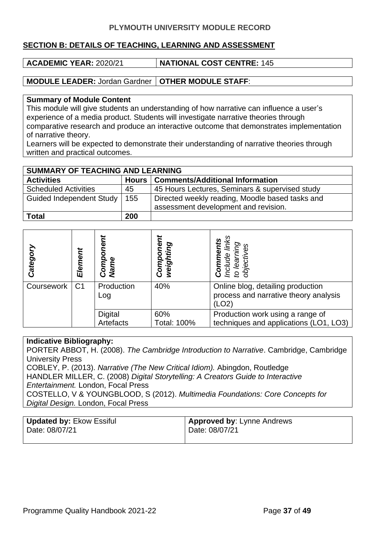#### **SECTION B: DETAILS OF TEACHING, LEARNING AND ASSESSMENT**

**ACADEMIC YEAR:** 2020/21 **NATIONAL COST CENTRE:** 145

**MODULE LEADER:** Jordan Gardner **OTHER MODULE STAFF**:

#### **Summary of Module Content**

This module will give students an understanding of how narrative can influence a user's experience of a media product. Students will investigate narrative theories through comparative research and produce an interactive outcome that demonstrates implementation of narrative theory.

Learners will be expected to demonstrate their understanding of narrative theories through written and practical outcomes.

| SUMMARY OF TEACHING AND LEARNING |     |                                                                                         |  |  |
|----------------------------------|-----|-----------------------------------------------------------------------------------------|--|--|
| <b>Activities</b>                |     | Hours   Comments/Additional Information                                                 |  |  |
| <b>Scheduled Activities</b>      | 45  | 45 Hours Lectures, Seminars & supervised study                                          |  |  |
| Guided Independent Study         | 155 | Directed weekly reading, Moodle based tasks and<br>assessment development and revision. |  |  |
| <b>Total</b>                     | 200 |                                                                                         |  |  |

| Categor    | Element        | ۵<br>ō<br>Comp<br>Name      | Φ<br>weighting<br>O<br>Q<br>Com | inks<br>nts<br>Ğί<br><b>Commer</b><br>Include li<br>to learnin<br>objective         |
|------------|----------------|-----------------------------|---------------------------------|-------------------------------------------------------------------------------------|
| Coursework | C <sub>1</sub> | Production<br>Log           | 40%                             | Online blog, detailing production<br>process and narrative theory analysis<br>(LO2) |
|            |                | <b>Digital</b><br>Artefacts | 60%<br><b>Total: 100%</b>       | Production work using a range of<br>techniques and applications (LO1, LO3)          |

#### **Indicative Bibliography:**

PORTER ABBOT, H. (2008). *The Cambridge Introduction to Narrative*. Cambridge, Cambridge University Press COBLEY, P. (2013). *Narrative (The New Critical Idiom).* Abingdon, Routledge HANDLER MILLER, C. (2008) *Digital Storytelling: A Creators Guide to Interactive Entertainment.* London, Focal Press COSTELLO, V & YOUNGBLOOD, S (2012). *Multimedia Foundations: Core Concepts for Digital Design.* London, Focal Press

| <b>Updated by: Ekow Essiful</b> | <b>Approved by: Lynne Andrews</b> |
|---------------------------------|-----------------------------------|
| Date: 08/07/21                  | <sup>1</sup> Date: 08/07/21       |
|                                 |                                   |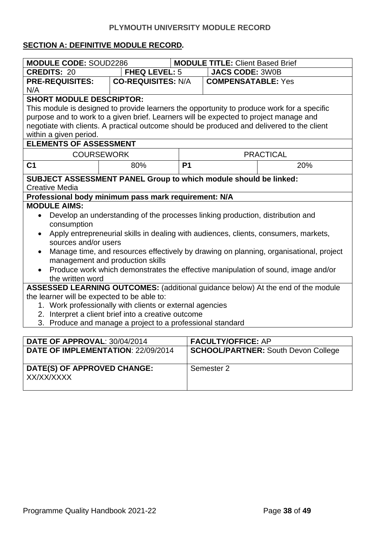#### **SECTION A: DEFINITIVE MODULE RECORD***.*

| <b>MODULE CODE: SOUD2286</b>                                                                      |                                                            |           | <b>MODULE TITLE: Client Based Brief</b> |                                                                                   |  |
|---------------------------------------------------------------------------------------------------|------------------------------------------------------------|-----------|-----------------------------------------|-----------------------------------------------------------------------------------|--|
| <b>CREDITS: 20</b>                                                                                | <b>FHEQ LEVEL: 5</b>                                       |           | <b>JACS CODE: 3W0B</b>                  |                                                                                   |  |
| <b>PRE-REQUISITES:</b>                                                                            | <b>CO-REQUISITES: N/A</b>                                  |           | <b>COMPENSATABLE: Yes</b>               |                                                                                   |  |
| N/A                                                                                               |                                                            |           |                                         |                                                                                   |  |
| <b>SHORT MODULE DESCRIPTOR:</b>                                                                   |                                                            |           |                                         |                                                                                   |  |
| This module is designed to provide learners the opportunity to produce work for a specific        |                                                            |           |                                         |                                                                                   |  |
| purpose and to work to a given brief. Learners will be expected to project manage and             |                                                            |           |                                         |                                                                                   |  |
| negotiate with clients. A practical outcome should be produced and delivered to the client        |                                                            |           |                                         |                                                                                   |  |
| within a given period.                                                                            |                                                            |           |                                         |                                                                                   |  |
| <b>ELEMENTS OF ASSESSMENT</b>                                                                     |                                                            |           |                                         |                                                                                   |  |
| <b>COURSEWORK</b>                                                                                 |                                                            |           |                                         | <b>PRACTICAL</b>                                                                  |  |
| C <sub>1</sub>                                                                                    | 80%                                                        | <b>P1</b> |                                         | 20%                                                                               |  |
| <b>SUBJECT ASSESSMENT PANEL Group to which module should be linked:</b>                           |                                                            |           |                                         |                                                                                   |  |
| <b>Creative Media</b>                                                                             |                                                            |           |                                         |                                                                                   |  |
| Professional body minimum pass mark requirement: N/A                                              |                                                            |           |                                         |                                                                                   |  |
| <b>MODULE AIMS:</b>                                                                               |                                                            |           |                                         |                                                                                   |  |
| Develop an understanding of the processes linking production, distribution and                    |                                                            |           |                                         |                                                                                   |  |
| consumption                                                                                       |                                                            |           |                                         |                                                                                   |  |
| Apply entrepreneurial skills in dealing with audiences, clients, consumers, markets,<br>$\bullet$ |                                                            |           |                                         |                                                                                   |  |
| sources and/or users                                                                              |                                                            |           |                                         |                                                                                   |  |
| Manage time, and resources effectively by drawing on planning, organisational, project            |                                                            |           |                                         |                                                                                   |  |
| management and production skills                                                                  |                                                            |           |                                         |                                                                                   |  |
|                                                                                                   |                                                            |           |                                         | Produce work which demonstrates the effective manipulation of sound, image and/or |  |
| the written word                                                                                  |                                                            |           |                                         |                                                                                   |  |
| ASSESSED LEARNING OUTCOMES: (additional guidance below) At the end of the module                  |                                                            |           |                                         |                                                                                   |  |
| the learner will be expected to be able to:                                                       |                                                            |           |                                         |                                                                                   |  |
| 1. Work professionally with clients or external agencies                                          |                                                            |           |                                         |                                                                                   |  |
| 2. Interpret a client brief into a creative outcome                                               |                                                            |           |                                         |                                                                                   |  |
|                                                                                                   | 3. Produce and manage a project to a professional standard |           |                                         |                                                                                   |  |
|                                                                                                   |                                                            |           |                                         |                                                                                   |  |
| DATE OF APPROVAL: 30/04/2014                                                                      |                                                            |           | <b>FACULTY/OFFICE: AP</b>               |                                                                                   |  |
| DATE OF IMPLEMENTATION: 22/09/2014                                                                |                                                            |           |                                         | <b>SCHOOL/PARTNER: South Devon College</b>                                        |  |
|                                                                                                   |                                                            |           |                                         |                                                                                   |  |

Semester 2

| DATE(S) OF APPROVED CHANGE: |  |
|-----------------------------|--|
| XX/XX/XXXX                  |  |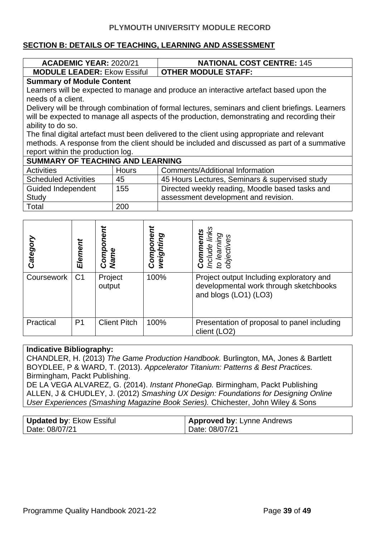#### **SECTION B: DETAILS OF TEACHING, LEARNING AND ASSESSMENT**

| <b>ACADEMIC YEAR: 2020/21</b>                                                          |                                  |                   |                                                |           | <b>NATIONAL COST CENTRE: 145</b> |                                                                                                  |
|----------------------------------------------------------------------------------------|----------------------------------|-------------------|------------------------------------------------|-----------|----------------------------------|--------------------------------------------------------------------------------------------------|
| <b>MODULE LEADER: Ekow Essiful</b>                                                     |                                  |                   |                                                |           | <b>OTHER MODULE STAFF:</b>       |                                                                                                  |
|                                                                                        | <b>Summary of Module Content</b> |                   |                                                |           |                                  |                                                                                                  |
| Learners will be expected to manage and produce an interactive artefact based upon the |                                  |                   |                                                |           |                                  |                                                                                                  |
| needs of a client.                                                                     |                                  |                   |                                                |           |                                  |                                                                                                  |
|                                                                                        |                                  |                   |                                                |           |                                  | Delivery will be through combination of formal lectures, seminars and client briefings. Learners |
|                                                                                        |                                  |                   |                                                |           |                                  | will be expected to manage all aspects of the production, demonstrating and recording their      |
| ability to do so.                                                                      |                                  |                   |                                                |           |                                  |                                                                                                  |
|                                                                                        |                                  |                   |                                                |           |                                  | The final digital artefact must been delivered to the client using appropriate and relevant      |
|                                                                                        |                                  |                   |                                                |           |                                  | methods. A response from the client should be included and discussed as part of a summative      |
| report within the production log.                                                      |                                  |                   |                                                |           |                                  |                                                                                                  |
| <b>SUMMARY OF TEACHING AND LEARNING</b>                                                |                                  |                   |                                                |           |                                  |                                                                                                  |
| <b>Activities</b><br><b>Hours</b>                                                      |                                  |                   | <b>Comments/Additional Information</b>         |           |                                  |                                                                                                  |
| 45<br><b>Scheduled Activities</b>                                                      |                                  |                   | 45 Hours Lectures, Seminars & supervised study |           |                                  |                                                                                                  |
| <b>Guided Independent</b>                                                              |                                  |                   | 155                                            |           |                                  | Directed weekly reading, Moodle based tasks and                                                  |
| <b>Study</b>                                                                           |                                  |                   |                                                |           |                                  | assessment development and revision.                                                             |
| Total                                                                                  |                                  |                   | 200                                            |           |                                  |                                                                                                  |
|                                                                                        |                                  |                   |                                                |           |                                  |                                                                                                  |
|                                                                                        |                                  |                   |                                                |           |                                  |                                                                                                  |
|                                                                                        |                                  |                   |                                                |           |                                  |                                                                                                  |
|                                                                                        |                                  |                   |                                                |           |                                  |                                                                                                  |
|                                                                                        |                                  |                   |                                                |           |                                  |                                                                                                  |
| Category                                                                               | Element                          | Component<br>Name |                                                | Component | weighting                        | Include links<br>Comments<br>to learning<br>objectives                                           |
|                                                                                        |                                  |                   |                                                |           |                                  |                                                                                                  |

|            | Ele            | ត្ថិ ទី<br>ខ        | Ō.<br>۵Ñ | $\overline{\mathbf{C}}\mathbf{C} \preceq \mathbf{C} \breve{\mathbf{C}}$                                     |
|------------|----------------|---------------------|----------|-------------------------------------------------------------------------------------------------------------|
| Coursework | C <sub>1</sub> | Project<br>output   | 100%     | Project output Including exploratory and<br>developmental work through sketchbooks<br>and blogs (LO1) (LO3) |
| Practical  | P1             | <b>Client Pitch</b> | 100%     | Presentation of proposal to panel including<br>client (LO2)                                                 |

#### **Indicative Bibliography:**

CHANDLER, H. (2013) *The Game Production Handbook.* Burlington, MA, Jones & Bartlett BOYDLEE, P & WARD, T. (2013). *Appcelerator Titanium: Patterns & Best Practices.*  Birmingham, Packt Publishing.

DE LA VEGA ALVAREZ, G. (2014). *Instant PhoneGap.* Birmingham, Packt Publishing ALLEN, J & CHUDLEY, J. (2012) *Smashing UX Design: Foundations for Designing Online User Experiences (Smashing Magazine Book Series).* Chichester, John Wiley & Sons

| <b>Updated by: Ekow Essiful</b> | <b>Approved by: Lynne Andrews</b> |
|---------------------------------|-----------------------------------|
| Date: 08/07/21                  | Date: 08/07/21                    |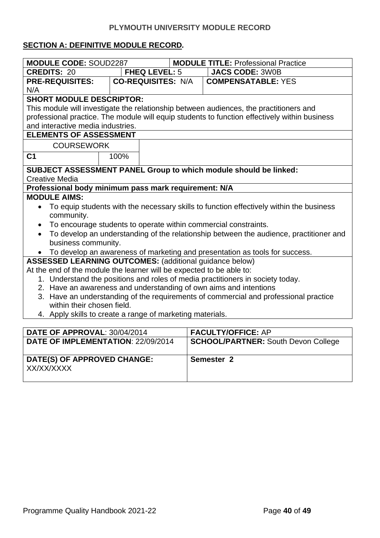#### **SECTION A: DEFINITIVE MODULE RECORD***.*

| <b>MODULE CODE: SOUD2287</b>                                                                        |                                                                                                      |                           | <b>MODULE TITLE: Professional Practice</b>                                                    |  |  |
|-----------------------------------------------------------------------------------------------------|------------------------------------------------------------------------------------------------------|---------------------------|-----------------------------------------------------------------------------------------------|--|--|
| <b>CREDITS: 20</b>                                                                                  |                                                                                                      | <b>FHEQ LEVEL: 5</b>      | <b>JACS CODE: 3W0B</b>                                                                        |  |  |
| <b>PRE-REQUISITES:</b>                                                                              |                                                                                                      | <b>CO-REQUISITES: N/A</b> | <b>COMPENSATABLE: YES</b>                                                                     |  |  |
| N/A                                                                                                 |                                                                                                      |                           |                                                                                               |  |  |
| <b>SHORT MODULE DESCRIPTOR:</b>                                                                     |                                                                                                      |                           |                                                                                               |  |  |
|                                                                                                     |                                                                                                      |                           | This module will investigate the relationship between audiences, the practitioners and        |  |  |
|                                                                                                     |                                                                                                      |                           | professional practice. The module will equip students to function effectively within business |  |  |
| and interactive media industries.                                                                   |                                                                                                      |                           |                                                                                               |  |  |
| <b>ELEMENTS OF ASSESSMENT</b>                                                                       |                                                                                                      |                           |                                                                                               |  |  |
| <b>COURSEWORK</b>                                                                                   |                                                                                                      |                           |                                                                                               |  |  |
| C <sub>1</sub>                                                                                      | 100%                                                                                                 |                           |                                                                                               |  |  |
|                                                                                                     |                                                                                                      |                           | SUBJECT ASSESSMENT PANEL Group to which module should be linked:                              |  |  |
| <b>Creative Media</b>                                                                               |                                                                                                      |                           |                                                                                               |  |  |
| Professional body minimum pass mark requirement: N/A                                                |                                                                                                      |                           |                                                                                               |  |  |
| <b>MODULE AIMS:</b>                                                                                 |                                                                                                      |                           |                                                                                               |  |  |
|                                                                                                     |                                                                                                      |                           |                                                                                               |  |  |
| community.                                                                                          | To equip students with the necessary skills to function effectively within the business<br>$\bullet$ |                           |                                                                                               |  |  |
| To encourage students to operate within commercial constraints.                                     |                                                                                                      |                           |                                                                                               |  |  |
| To develop an understanding of the relationship between the audience, practitioner and<br>$\bullet$ |                                                                                                      |                           |                                                                                               |  |  |
| business community.                                                                                 |                                                                                                      |                           |                                                                                               |  |  |
| To develop an awareness of marketing and presentation as tools for success.                         |                                                                                                      |                           |                                                                                               |  |  |
| <b>ASSESSED LEARNING OUTCOMES:</b> (additional guidance below)                                      |                                                                                                      |                           |                                                                                               |  |  |
| At the end of the module the learner will be expected to be able to:                                |                                                                                                      |                           |                                                                                               |  |  |
|                                                                                                     | 1. Understand the positions and roles of media practitioners in society today.                       |                           |                                                                                               |  |  |
|                                                                                                     | 2. Have an awareness and understanding of own aims and intentions                                    |                           |                                                                                               |  |  |
| 3. Have an understanding of the requirements of commercial and professional practice                |                                                                                                      |                           |                                                                                               |  |  |
| within their chosen field.                                                                          |                                                                                                      |                           |                                                                                               |  |  |
| 4. Apply skills to create a range of marketing materials.                                           |                                                                                                      |                           |                                                                                               |  |  |
|                                                                                                     |                                                                                                      |                           |                                                                                               |  |  |
| DATE OF APPROVAL: 30/04/2014                                                                        |                                                                                                      |                           | <b>FACULTY/OFFICE: AP</b>                                                                     |  |  |
| DATE OF IMPLEMENTATION: 22/09/2014                                                                  |                                                                                                      |                           | <b>SCHOOL/PARTNER: South Devon College</b>                                                    |  |  |
|                                                                                                     |                                                                                                      |                           |                                                                                               |  |  |
| DATE(S) OF APPROVED CHANGE:                                                                         |                                                                                                      |                           | Semester <sub>2</sub>                                                                         |  |  |
| XX/XX/XXXX                                                                                          |                                                                                                      |                           |                                                                                               |  |  |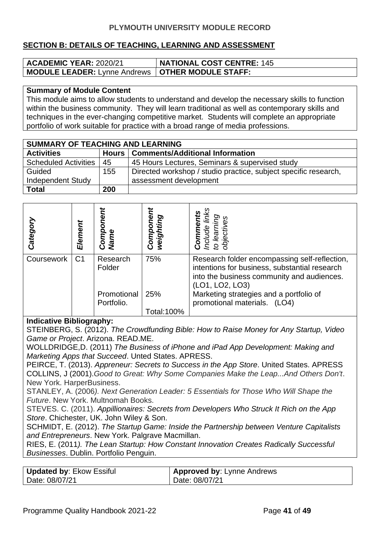#### **SECTION B: DETAILS OF TEACHING, LEARNING AND ASSESSMENT**

| <b>ACADEMIC YEAR: 2020/21</b>                             | <b>NATIONAL COST CENTRE: 145</b> |
|-----------------------------------------------------------|----------------------------------|
| <b>MODULE LEADER: Lynne Andrews   OTHER MODULE STAFF:</b> |                                  |

#### **Summary of Module Content**

This module aims to allow students to understand and develop the necessary skills to function within the business community. They will learn traditional as well as contemporary skills and techniques in the ever-changing competitive market. Students will complete an appropriate portfolio of work suitable for practice with a broad range of media professions.

| <b>SUMMARY OF TEACHING AND LEARNING</b> |     |                                                                 |  |  |
|-----------------------------------------|-----|-----------------------------------------------------------------|--|--|
| <b>Activities</b>                       |     | Hours   Comments/Additional Information                         |  |  |
| <b>Scheduled Activities</b>             | 45  | 45 Hours Lectures, Seminars & supervised study                  |  |  |
| Guided                                  | 155 | Directed workshop / studio practice, subject specific research, |  |  |
| <b>Independent Study</b>                |     | assessment development                                          |  |  |
| <b>Total</b>                            | 200 |                                                                 |  |  |

| Categor           | Element        | ω<br>Comp<br>Name                 | mponen<br>weighting<br>Š | lear<br>Inclu<br>õ<br>đ                                                                                                                                                                                    |
|-------------------|----------------|-----------------------------------|--------------------------|------------------------------------------------------------------------------------------------------------------------------------------------------------------------------------------------------------|
| <b>Coursework</b> | C <sub>1</sub> | Research<br>Folder<br>Promotional | 75%<br>25%               | Research folder encompassing self-reflection,<br>intentions for business, substantial research<br>into the business community and audiences.<br>(LO1, LO2, LO3)<br>Marketing strategies and a portfolio of |
|                   |                | Portfolio.                        | Total:100%               | promotional materials.<br>(LO4)                                                                                                                                                                            |

#### **Indicative Bibliography:**

STEINBERG, S. (2012). *The Crowdfunding Bible: How to Raise Money for Any Startup, Video Game or Project*. Arizona. READ.ME.

WOLLDRIDGE,D. (2011) *The Business of iPhone and iPad App Development: Making and Marketing Apps that Succeed*. Unted States. APRESS.

PEIRCE, T. (2013). *Appreneur: Secrets to Success in the App Store*. United States. APRESS COLLINS, J (2001).*Good to Great: Why Some Companies Make the Leap...And Others Don't*. New York. HarperBusiness.

STANLEY, A. (2006*). Next Generation Leader: 5 Essentials for Those Who Will Shape the Future*. New York. Multnomah Books.

STEVES. C. (2011). *Appillionaires: Secrets from Developers Who Struck It Rich on the App Store*. Chichester, UK. John Wiley & Son.

SCHMIDT, E. (2012). *The Startup Game: Inside the Partnership between Venture Capitalists and Entrepreneurs*. New York. Palgrave Macmillan.

RIES, E. (2011*). The Lean Startup: How Constant Innovation Creates Radically Successful Businesses*. Dublin. Portfolio Penguin.

| Updated by: Ekow Essiful | <b>Approved by: Lynne Andrews</b> |
|--------------------------|-----------------------------------|
| Date: 08/07/21           | Date: 08/07/21                    |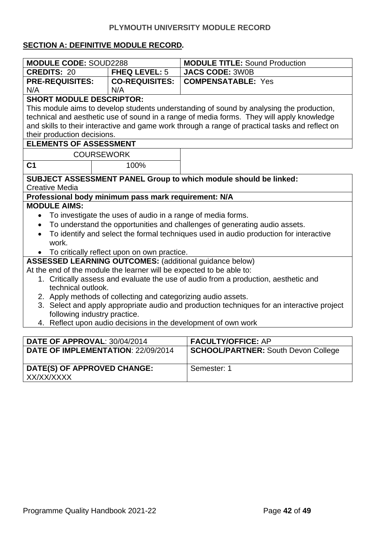#### **SECTION A: DEFINITIVE MODULE RECORD***.*

| <b>MODULE CODE: SOUD2288</b>                                                                       |                                                                      | <b>MODULE TITLE: Sound Production</b>                                                           |  |  |
|----------------------------------------------------------------------------------------------------|----------------------------------------------------------------------|-------------------------------------------------------------------------------------------------|--|--|
| <b>CREDITS: 20</b>                                                                                 | <b>FHEQ LEVEL: 5</b>                                                 | JACS CODE: 3W0B                                                                                 |  |  |
| <b>PRE-REQUISITES:</b>                                                                             | <b>CO-REQUISITES:</b>                                                | <b>COMPENSATABLE: Yes</b>                                                                       |  |  |
| N/A                                                                                                | N/A                                                                  |                                                                                                 |  |  |
| <b>SHORT MODULE DESCRIPTOR:</b>                                                                    |                                                                      |                                                                                                 |  |  |
|                                                                                                    |                                                                      | This module aims to develop students understanding of sound by analysing the production,        |  |  |
|                                                                                                    |                                                                      | technical and aesthetic use of sound in a range of media forms. They will apply knowledge       |  |  |
|                                                                                                    |                                                                      | and skills to their interactive and game work through a range of practical tasks and reflect on |  |  |
| their production decisions.                                                                        |                                                                      |                                                                                                 |  |  |
| <b>ELEMENTS OF ASSESSMENT</b>                                                                      |                                                                      |                                                                                                 |  |  |
|                                                                                                    | <b>COURSEWORK</b>                                                    |                                                                                                 |  |  |
| C <sub>1</sub>                                                                                     | 100%                                                                 |                                                                                                 |  |  |
|                                                                                                    |                                                                      | SUBJECT ASSESSMENT PANEL Group to which module should be linked:                                |  |  |
| <b>Creative Media</b>                                                                              |                                                                      |                                                                                                 |  |  |
|                                                                                                    | Professional body minimum pass mark requirement: N/A                 |                                                                                                 |  |  |
| <b>MODULE AIMS:</b>                                                                                |                                                                      |                                                                                                 |  |  |
| $\bullet$                                                                                          | To investigate the uses of audio in a range of media forms.          |                                                                                                 |  |  |
| To understand the opportunities and challenges of generating audio assets.<br>$\bullet$            |                                                                      |                                                                                                 |  |  |
| To identify and select the formal techniques used in audio production for interactive<br>$\bullet$ |                                                                      |                                                                                                 |  |  |
| work.                                                                                              |                                                                      |                                                                                                 |  |  |
|                                                                                                    | To critically reflect upon on own practice.                          |                                                                                                 |  |  |
| <b>ASSESSED LEARNING OUTCOMES:</b> (additional guidance below)                                     |                                                                      |                                                                                                 |  |  |
|                                                                                                    | At the end of the module the learner will be expected to be able to: |                                                                                                 |  |  |
|                                                                                                    |                                                                      | 1. Critically assess and evaluate the use of audio from a production, aesthetic and             |  |  |
| technical outlook.                                                                                 |                                                                      |                                                                                                 |  |  |
| 2. Apply methods of collecting and categorizing audio assets.                                      |                                                                      |                                                                                                 |  |  |
| 3. Select and apply appropriate audio and production techniques for an interactive project         |                                                                      |                                                                                                 |  |  |
| following industry practice.                                                                       |                                                                      |                                                                                                 |  |  |
| 4. Reflect upon audio decisions in the development of own work                                     |                                                                      |                                                                                                 |  |  |
| DATE OF APPROVAL: 30/04/2014                                                                       |                                                                      |                                                                                                 |  |  |
|                                                                                                    |                                                                      | <b>FACULTY/OFFICE: AP</b>                                                                       |  |  |
| DATE OF IMPLEMENTATION: 22/09/2014<br><b>SCHOOL/PARTNER: South Devon College</b>                   |                                                                      |                                                                                                 |  |  |
| DATE(S) OF APPROVED CHANGE:                                                                        |                                                                      | Semester: 1                                                                                     |  |  |

**DATE(S) OF APPROVED CHANGE:**

XX/XX/XXXX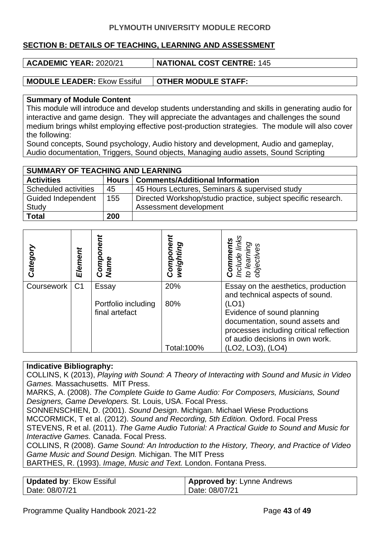#### **SECTION B: DETAILS OF TEACHING, LEARNING AND ASSESSMENT**

**ACADEMIC YEAR:** 2020/21 **NATIONAL COST CENTRE:** 145

**MODULE LEADER:** Ekow Essiful **OTHER MODULE STAFF:** 

#### **Summary of Module Content**

This module will introduce and develop students understanding and skills in generating audio for interactive and game design. They will appreciate the advantages and challenges the sound medium brings whilst employing effective post-production strategies. The module will also cover the following:

Sound concepts, Sound psychology, Audio history and development, Audio and gameplay, Audio documentation, Triggers, Sound objects, Managing audio assets, Sound Scripting

| <b>SUMMARY OF TEACHING AND LEARNING</b> |     |                                                               |  |  |
|-----------------------------------------|-----|---------------------------------------------------------------|--|--|
| <b>Activities</b>                       |     | Hours   Comments/Additional Information                       |  |  |
| Scheduled activities                    | 45  | 45 Hours Lectures, Seminars & supervised study                |  |  |
| <b>Guided Independent</b>               | 155 | Directed Workshop/studio practice, subject specific research. |  |  |
| Study                                   |     | Assessment development                                        |  |  |
| <b>Total</b>                            | 200 |                                                               |  |  |

| Categor    | Element        | Comp<br>Name                          | weighting<br>Compo | links<br><b>Comments</b><br>Include links<br>to learning<br>objectives                                                                               |
|------------|----------------|---------------------------------------|--------------------|------------------------------------------------------------------------------------------------------------------------------------------------------|
| Coursework | C <sub>1</sub> | Essay                                 | 20%                | Essay on the aesthetics, production<br>and technical aspects of sound.                                                                               |
|            |                | Portfolio including<br>final artefact | 80%                | (LO1)<br>Evidence of sound planning<br>documentation, sound assets and<br>processes including critical reflection<br>of audio decisions in own work. |
|            |                |                                       | Total: 100%        | (LO2, LO3), (LO4)                                                                                                                                    |

#### **Indicative Bibliography:**

COLLINS, K (2013), *Playing with Sound: A Theory of Interacting with Sound and Music in Video Games.* Massachusetts. MIT Press.

MARKS, A. (2008). *The Complete Guide to Game Audio: For Composers, Musicians, Sound Designers, Game Developers.* St. Louis, USA. Focal Press.

SONNENSCHIEN, D. (2001). *Sound Design*. Michigan. Michael Wiese Productions

MCCORMICK, T et al. (2012). *Sound and Recording, 5th Edition.* Oxford. Focal Press

STEVENS, R et al. (2011). *The Game Audio Tutorial: A Practical Guide to Sound and Music for Interactive Games.* Canada. Focal Press.

COLLINS, R (2008). *Game Sound: An Introduction to the History, Theory, and Practice of Video Game Music and Sound Design.* Michigan. The MIT Press

BARTHES, R. (1993). *Image, Music and Text.* London. Fontana Press.

| Updated by: Ekow Essiful | <b>Approved by: Lynne Andrews</b> |
|--------------------------|-----------------------------------|
| Date: 08/07/21           | Date: 08/07/21                    |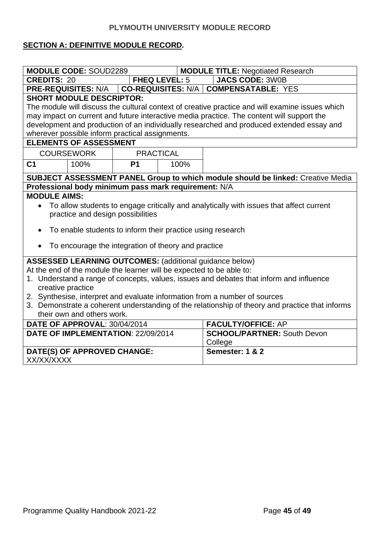#### **SECTION A: DEFINITIVE MODULE RECORD***.*

| <b>MODULE CODE: SOUD2289</b><br><b>MODULE TITLE: Negotiated Research</b>                        |                  |                      |                                                                                                 |  |  |
|-------------------------------------------------------------------------------------------------|------------------|----------------------|-------------------------------------------------------------------------------------------------|--|--|
| <b>CREDITS: 20</b>                                                                              |                  | <b>FHEQ LEVEL: 5</b> | <b>JACS CODE: 3W0B</b>                                                                          |  |  |
| <b>PRE-REQUISITES: N/A</b><br><b>CO-REQUISITES: N/A  </b><br><b>COMPENSATABLE: YES</b>          |                  |                      |                                                                                                 |  |  |
| <b>SHORT MODULE DESCRIPTOR:</b>                                                                 |                  |                      |                                                                                                 |  |  |
|                                                                                                 |                  |                      | The module will discuss the cultural context of creative practice and will examine issues which |  |  |
|                                                                                                 |                  |                      | may impact on current and future interactive media practice. The content will support the       |  |  |
|                                                                                                 |                  |                      | development and production of an individually researched and produced extended essay and        |  |  |
| wherever possible inform practical assignments.                                                 |                  |                      |                                                                                                 |  |  |
| <b>ELEMENTS OF ASSESSMENT</b>                                                                   |                  |                      |                                                                                                 |  |  |
| <b>COURSEWORK</b>                                                                               | <b>PRACTICAL</b> |                      |                                                                                                 |  |  |
| C <sub>1</sub><br>100%                                                                          | <b>P1</b>        | 100%                 |                                                                                                 |  |  |
|                                                                                                 |                  |                      | <b>SUBJECT ASSESSMENT PANEL Group to which module should be linked: Creative Media</b>          |  |  |
| Professional body minimum pass mark requirement: N/A                                            |                  |                      |                                                                                                 |  |  |
| <b>MODULE AIMS:</b>                                                                             |                  |                      |                                                                                                 |  |  |
|                                                                                                 |                  |                      | To allow students to engage critically and analytically with issues that affect current         |  |  |
| practice and design possibilities                                                               |                  |                      |                                                                                                 |  |  |
| To enable students to inform their practice using research<br>$\bullet$                         |                  |                      |                                                                                                 |  |  |
|                                                                                                 |                  |                      |                                                                                                 |  |  |
| To encourage the integration of theory and practice                                             |                  |                      |                                                                                                 |  |  |
| <b>ASSESSED LEARNING OUTCOMES: (additional guidance below)</b>                                  |                  |                      |                                                                                                 |  |  |
| At the end of the module the learner will be expected to be able to:                            |                  |                      |                                                                                                 |  |  |
|                                                                                                 |                  |                      | 1. Understand a range of concepts, values, issues and debates that inform and influence         |  |  |
| creative practice                                                                               |                  |                      |                                                                                                 |  |  |
| 2. Synthesise, interpret and evaluate information from a number of sources                      |                  |                      |                                                                                                 |  |  |
| 3. Demonstrate a coherent understanding of the relationship of theory and practice that informs |                  |                      |                                                                                                 |  |  |
| their own and others work.                                                                      |                  |                      |                                                                                                 |  |  |
| <b>FACULTY/OFFICE: AP</b><br>DATE OF APPROVAL: 30/04/2014                                       |                  |                      |                                                                                                 |  |  |
| DATE OF IMPLEMENTATION: 22/09/2014<br><b>SCHOOL/PARTNER: South Devon</b>                        |                  |                      |                                                                                                 |  |  |
|                                                                                                 | College          |                      |                                                                                                 |  |  |
| DATE(S) OF APPROVED CHANGE:                                                                     |                  |                      | Semester: 1 & 2                                                                                 |  |  |
| XX/XX/XXXX                                                                                      |                  |                      |                                                                                                 |  |  |
|                                                                                                 |                  |                      |                                                                                                 |  |  |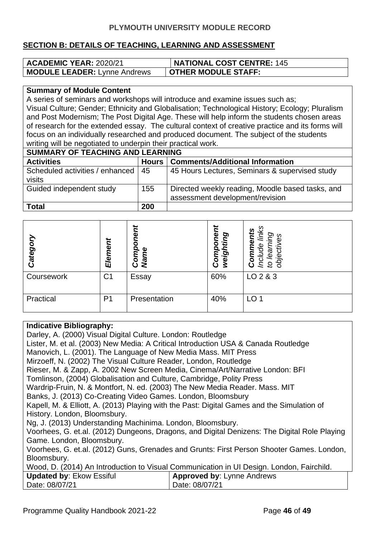#### **SECTION B: DETAILS OF TEACHING, LEARNING AND ASSESSMENT**

| <b>ACADEMIC YEAR: 2020/21</b>       | <b>NATIONAL COST CENTRE: 145</b> |
|-------------------------------------|----------------------------------|
| <b>MODULE LEADER:</b> Lynne Andrews | <b>OTHER MODULE STAFF:</b>       |

#### **Summary of Module Content**

A series of seminars and workshops will introduce and examine issues such as; Visual Culture; Gender; Ethnicity and Globalisation; Technological History; Ecology; Pluralism and Post Modernism; The Post Digital Age. These will help inform the students chosen areas of research for the extended essay. The cultural context of creative practice and its forms will focus on an individually researched and produced document. The subject of the students writing will be negotiated to underpin their practical work.

| <b>SUMMARY OF TEACHING AND LEARNING</b>     |              |                                                                                     |  |  |
|---------------------------------------------|--------------|-------------------------------------------------------------------------------------|--|--|
| <b>Activities</b>                           | <b>Hours</b> | <b>Comments/Additional Information</b>                                              |  |  |
| Scheduled activities / enhanced  <br>visits | 45           | 45 Hours Lectures, Seminars & supervised study                                      |  |  |
| Guided independent study                    | 155          | Directed weekly reading, Moodle based tasks, and<br>assessment development/revision |  |  |
| <b>Total</b>                                | 200          |                                                                                     |  |  |

| Categor <sub>]</sub> | Element        | ∼<br>Componen<br><b>Name</b> | Ø<br>O)<br>o<br>О<br>ig.<br>3<br><b>S</b><br>ပိ | ဖ<br>့ທ<br>ဘ<br>ၯ<br>Φ<br>ω<br>Φ<br>2<br>o<br>Ö<br>9q<br>8<br>5 |
|----------------------|----------------|------------------------------|-------------------------------------------------|-----------------------------------------------------------------|
| Coursework           | C <sub>1</sub> | Essay                        | 60%                                             | LO 2 & 3                                                        |
| Practical            | P <sub>1</sub> | Presentation                 | 40%                                             | LO <sub>1</sub>                                                 |

#### **Indicative Bibliography:**

Darley, A. (2000) Visual Digital Culture. London: Routledge Lister, M. et al. (2003) New Media: A Critical Introduction USA & Canada Routledge Manovich, L. (2001). The Language of New Media Mass. MIT Press Mirzoeff, N. (2002) The Visual Culture Reader, London, Routledge Rieser, M. & Zapp, A. 2002 New Screen Media, Cinema/Art/Narrative London: BFI Tomlinson, (2004) Globalisation and Culture, Cambridge, Polity Press Wardrip-Fruin, N. & Montfort, N. ed. (2003) The New Media Reader. Mass. MIT Banks, J. (2013) Co-Creating Video Games. London, Bloomsbury Kapell, M. & Elliott, A. (2013) Playing with the Past: Digital Games and the Simulation of History. London, Bloomsbury. Ng, J. (2013) Understanding Machinima. London, Bloomsbury. Voorhees, G. et.al. (2012) Dungeons, Dragons, and Digital Denizens: The Digital Role Playing Game. London, Bloomsbury. Voorhees, G. et.al. (2012) Guns, Grenades and Grunts: First Person Shooter Games. London, Bloomsbury. Wood, D. (2014) An Introduction to Visual Communication in UI Design. London, Fairchild. **Updated by**: Ekow Essiful Date: 08/07/21 **Approved by**: Lynne Andrews Date: 08/07/21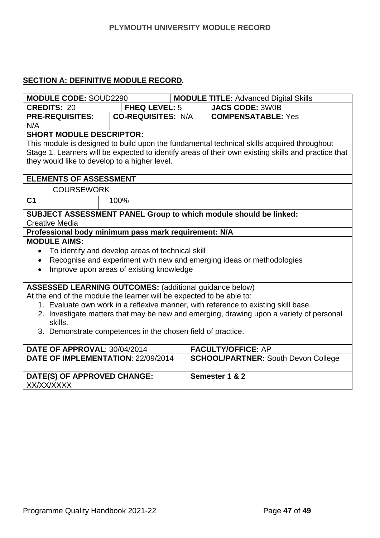#### **SECTION A: DEFINITIVE MODULE RECORD***.*

| <b>MODULE CODE: SOUD2290</b>                                                            |                                                                      |                           | <b>MODULE TITLE: Advanced Digital Skills</b> |                                                                                                     |  |
|-----------------------------------------------------------------------------------------|----------------------------------------------------------------------|---------------------------|----------------------------------------------|-----------------------------------------------------------------------------------------------------|--|
| <b>CREDITS: 20</b>                                                                      |                                                                      | FHEQ LEVEL: 5             |                                              | <b>JACS CODE: 3W0B</b>                                                                              |  |
| <b>PRE-REQUISITES:</b>                                                                  |                                                                      | <b>CO-REQUISITES: N/A</b> |                                              | <b>COMPENSATABLE: Yes</b>                                                                           |  |
| N/A                                                                                     |                                                                      |                           |                                              |                                                                                                     |  |
| <b>SHORT MODULE DESCRIPTOR:</b>                                                         |                                                                      |                           |                                              |                                                                                                     |  |
|                                                                                         |                                                                      |                           |                                              | This module is designed to build upon the fundamental technical skills acquired throughout          |  |
|                                                                                         |                                                                      |                           |                                              | Stage 1. Learners will be expected to identify areas of their own existing skills and practice that |  |
| they would like to develop to a higher level.                                           |                                                                      |                           |                                              |                                                                                                     |  |
|                                                                                         |                                                                      |                           |                                              |                                                                                                     |  |
| <b>ELEMENTS OF ASSESSMENT</b>                                                           |                                                                      |                           |                                              |                                                                                                     |  |
| <b>COURSEWORK</b>                                                                       |                                                                      |                           |                                              |                                                                                                     |  |
| C <sub>1</sub>                                                                          | 100%                                                                 |                           |                                              |                                                                                                     |  |
|                                                                                         |                                                                      |                           |                                              | <b>SUBJECT ASSESSMENT PANEL Group to which module should be linked:</b>                             |  |
| <b>Creative Media</b>                                                                   |                                                                      |                           |                                              |                                                                                                     |  |
| Professional body minimum pass mark requirement: N/A                                    |                                                                      |                           |                                              |                                                                                                     |  |
| <b>MODULE AIMS:</b>                                                                     |                                                                      |                           |                                              |                                                                                                     |  |
| $\bullet$                                                                               | To identify and develop areas of technical skill                     |                           |                                              |                                                                                                     |  |
| $\bullet$                                                                               |                                                                      |                           |                                              | Recognise and experiment with new and emerging ideas or methodologies                               |  |
| Improve upon areas of existing knowledge<br>$\bullet$                                   |                                                                      |                           |                                              |                                                                                                     |  |
|                                                                                         |                                                                      |                           |                                              |                                                                                                     |  |
| <b>ASSESSED LEARNING OUTCOMES:</b> (additional guidance below)                          |                                                                      |                           |                                              |                                                                                                     |  |
|                                                                                         | At the end of the module the learner will be expected to be able to: |                           |                                              |                                                                                                     |  |
|                                                                                         |                                                                      |                           |                                              | 1. Evaluate own work in a reflexive manner, with reference to existing skill base.                  |  |
| 2. Investigate matters that may be new and emerging, drawing upon a variety of personal |                                                                      |                           |                                              |                                                                                                     |  |
| skills.                                                                                 |                                                                      |                           |                                              |                                                                                                     |  |
| 3. Demonstrate competences in the chosen field of practice.                             |                                                                      |                           |                                              |                                                                                                     |  |
|                                                                                         |                                                                      |                           |                                              |                                                                                                     |  |
| DATE OF APPROVAL: 30/04/2014                                                            |                                                                      |                           |                                              | <b>FACULTY/OFFICE: AP</b>                                                                           |  |
| DATE OF IMPLEMENTATION: 22/09/2014                                                      |                                                                      |                           |                                              | <b>SCHOOL/PARTNER: South Devon College</b>                                                          |  |
|                                                                                         |                                                                      |                           |                                              |                                                                                                     |  |
| DATE(S) OF APPROVED CHANGE:                                                             |                                                                      |                           |                                              | Semester 1 & 2                                                                                      |  |

XX/XX/XXXX